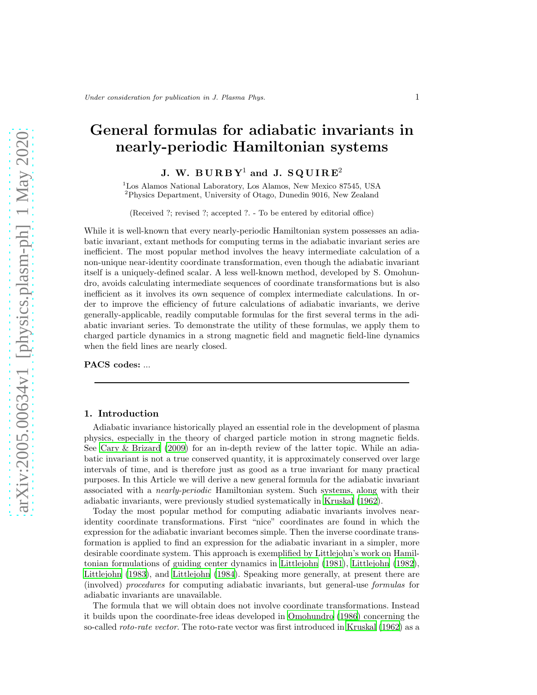# General formulas for adiabatic invariants in nearly-periodic Hamiltonian systems

## J. W. BURBY<sup>1</sup> and J. SQUIRE<sup>2</sup>

<sup>1</sup>Los Alamos National Laboratory, Los Alamos, New Mexico 87545, USA <sup>2</sup>Physics Department, University of Otago, Dunedin 9016, New Zealand

(Received ?; revised ?; accepted ?. - To be entered by editorial office)

While it is well-known that every nearly-periodic Hamiltonian system possesses an adiabatic invariant, extant methods for computing terms in the adiabatic invariant series are inefficient. The most popular method involves the heavy intermediate calculation of a non-unique near-identity coordinate transformation, even though the adiabatic invariant itself is a uniquely-defined scalar. A less well-known method, developed by S. Omohundro, avoids calculating intermediate sequences of coordinate transformations but is also inefficient as it involves its own sequence of complex intermediate calculations. In order to improve the efficiency of future calculations of adiabatic invariants, we derive generally-applicable, readily computable formulas for the first several terms in the adiabatic invariant series. To demonstrate the utility of these formulas, we apply them to charged particle dynamics in a strong magnetic field and magnetic field-line dynamics when the field lines are nearly closed.

PACS codes: ...

## 1. Introduction

Adiabatic invariance historically played an essential role in the development of plasma physics, especially in the theory of charged particle motion in strong magnetic fields. See [Cary & Brizard \(2009](#page-31-0)) for an in-depth review of the latter topic. While an adiabatic invariant is not a true conserved quantity, it is approximately conserved over large intervals of time, and is therefore just as good as a true invariant for many practical purposes. In this Article we will derive a new general formula for the adiabatic invariant associated with a nearly-periodic Hamiltonian system. Such systems, along with their adiabatic invariants, were previously studied systematically in [Kruskal \(1962\)](#page-31-1).

Today the most popular method for computing adiabatic invariants involves nearidentity coordinate transformations. First "nice" coordinates are found in which the expression for the adiabatic invariant becomes simple. Then the inverse coordinate transformation is applied to find an expression for the adiabatic invariant in a simpler, more desirable coordinate system. This approach is exemplified by Littlejohn's work on Hamiltonian formulations of guiding center dynamics in [Littlejohn \(1981\)](#page-31-2), [Littlejohn \(1982\)](#page-31-3), [Littlejohn \(1983\)](#page-31-4), and [Littlejohn \(1984\)](#page-31-5). Speaking more generally, at present there are (involved) procedures for computing adiabatic invariants, but general-use formulas for adiabatic invariants are unavailable.

The formula that we will obtain does not involve coordinate transformations. Instead it builds upon the coordinate-free ideas developed in [Omohundro \(1986\)](#page-31-6) concerning the so-called *roto-rate vector*. The roto-rate vector was first introduced in [Kruskal \(1962\)](#page-31-1) as a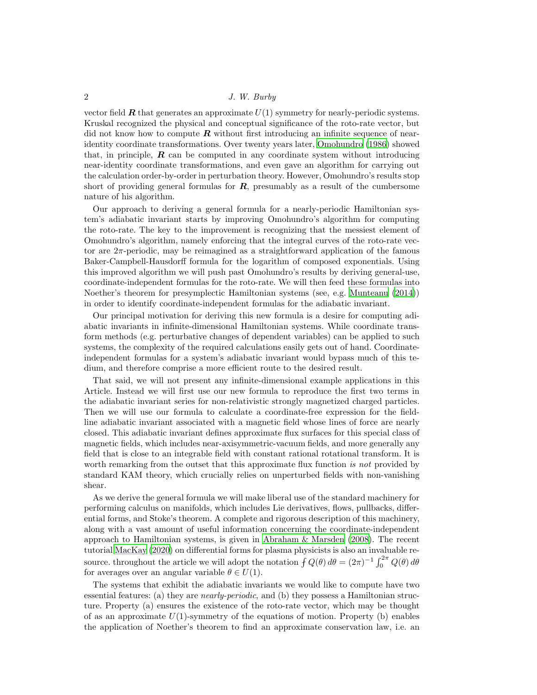vector field  $\bf{R}$  that generates an approximate  $U(1)$  symmetry for nearly-periodic systems. Kruskal recognized the physical and conceptual significance of the roto-rate vector, but did not know how to compute  $\bm{R}$  without first introducing an infinite sequence of nearidentity coordinate transformations. Over twenty years later, [Omohundro \(1986\)](#page-31-6) showed that, in principle,  $\bm{R}$  can be computed in any coordinate system without introducing near-identity coordinate transformations, and even gave an algorithm for carrying out the calculation order-by-order in perturbation theory. However, Omohundro's results stop short of providing general formulas for  $R$ , presumably as a result of the cumbersome nature of his algorithm.

Our approach to deriving a general formula for a nearly-periodic Hamiltonian system's adiabatic invariant starts by improving Omohundro's algorithm for computing the roto-rate. The key to the improvement is recognizing that the messiest element of Omohundro's algorithm, namely enforcing that the integral curves of the roto-rate vector are 2π-periodic, may be reimagined as a straightforward application of the famous Baker-Campbell-Hausdorff formula for the logarithm of composed exponentials. Using this improved algorithm we will push past Omohundro's results by deriving general-use, coordinate-independent formulas for the roto-rate. We will then feed these formulas into Noether's theorem for presymplectic Hamiltonian systems (see, e.g. [Munteanu \(2014\)](#page-31-7)) in order to identify coordinate-independent formulas for the adiabatic invariant.

Our principal motivation for deriving this new formula is a desire for computing adiabatic invariants in infinite-dimensional Hamiltonian systems. While coordinate transform methods (e.g. perturbative changes of dependent variables) can be applied to such systems, the complexity of the required calculations easily gets out of hand. Coordinateindependent formulas for a system's adiabatic invariant would bypass much of this tedium, and therefore comprise a more efficient route to the desired result.

That said, we will not present any infinite-dimensional example applications in this Article. Instead we will first use our new formula to reproduce the first two terms in the adiabatic invariant series for non-relativistic strongly magnetized charged particles. Then we will use our formula to calculate a coordinate-free expression for the fieldline adiabatic invariant associated with a magnetic field whose lines of force are nearly closed. This adiabatic invariant defines approximate flux surfaces for this special class of magnetic fields, which includes near-axisymmetric-vacuum fields, and more generally any field that is close to an integrable field with constant rational rotational transform. It is worth remarking from the outset that this approximate flux function is not provided by standard KAM theory, which crucially relies on unperturbed fields with non-vanishing shear.

As we derive the general formula we will make liberal use of the standard machinery for performing calculus on manifolds, which includes Lie derivatives, flows, pullbacks, differential forms, and Stoke's theorem. A complete and rigorous description of this machinery, along with a vast amount of useful information concerning the coordinate-independent approach to Hamiltonian systems, is given in Abraham  $\&$  Marsden (2008). The recent tutorial [MacKay \(2020\)](#page-31-9) on differential forms for plasma physicists is also an invaluable resource. throughout the article we will adopt the notation  $\int Q(\theta) d\theta = (2\pi)^{-1} \int_0^{2\pi} Q(\theta) d\theta$ for averages over an angular variable  $\theta \in U(1)$ .

The systems that exhibit the adiabatic invariants we would like to compute have two essential features: (a) they are nearly-periodic, and (b) they possess a Hamiltonian structure. Property (a) ensures the existence of the roto-rate vector, which may be thought of as an approximate  $U(1)$ -symmetry of the equations of motion. Property (b) enables the application of Noether's theorem to find an approximate conservation law, i.e. an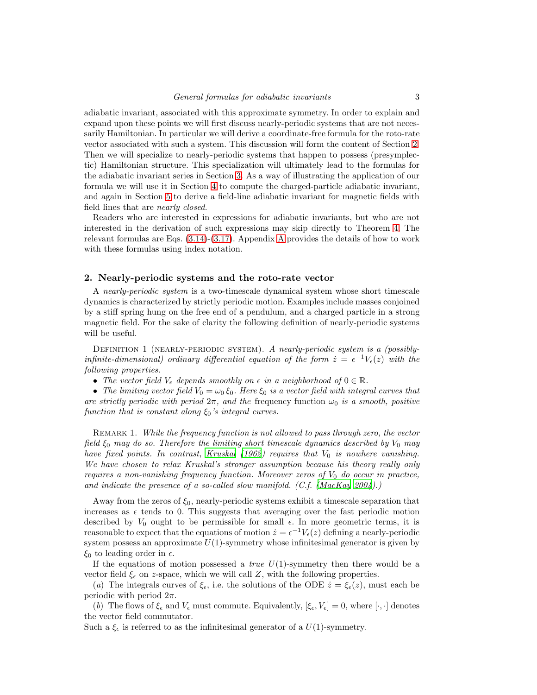adiabatic invariant, associated with this approximate symmetry. In order to explain and expand upon these points we will first discuss nearly-periodic systems that are not necessarily Hamiltonian. In particular we will derive a coordinate-free formula for the roto-rate vector associated with such a system. This discussion will form the content of Section [2.](#page-2-0) Then we will specialize to nearly-periodic systems that happen to possess (presymplectic) Hamiltonian structure. This specialization will ultimately lead to the formulas for the adiabatic invariant series in Section [3.](#page-11-0) As a way of illustrating the application of our formula we will use it in Section [4](#page-22-0) to compute the charged-particle adiabatic invariant, and again in Section [5](#page-24-0) to derive a field-line adiabatic invariant for magnetic fields with field lines that are nearly closed.

Readers who are interested in expressions for adiabatic invariants, but who are not interested in the derivation of such expressions may skip directly to Theorem [4.](#page-15-0) The relevant formulas are Eqs.  $(3.14)-(3.17)$  $(3.14)-(3.17)$ . [A](#page-26-0)ppendix A provides the details of how to work with these formulas using index notation.

#### <span id="page-2-0"></span>2. Nearly-periodic systems and the roto-rate vector

A nearly-periodic system is a two-timescale dynamical system whose short timescale dynamics is characterized by strictly periodic motion. Examples include masses conjoined by a stiff spring hung on the free end of a pendulum, and a charged particle in a strong magnetic field. For the sake of clarity the following definition of nearly-periodic systems will be useful.

DEFINITION 1 (NEARLY-PERIODIC SYSTEM). A nearly-periodic system is a (possiblyinfinite-dimensional) ordinary differential equation of the form  $\dot{z} = \epsilon^{-1} V_{\epsilon}(z)$  with the following properties.

• The vector field  $V_{\epsilon}$  depends smoothly on  $\epsilon$  in a neighborhood of  $0 \in \mathbb{R}$ .

• The limiting vector field  $V_0 = \omega_0 \xi_0$ . Here  $\xi_0$  is a vector field with integral curves that are strictly periodic with period  $2\pi$ , and the frequency function  $\omega_0$  is a smooth, positive function that is constant along  $\xi_0$ 's integral curves.

REMARK 1. While the frequency function is not allowed to pass through zero, the vector field  $\xi_0$  may do so. Therefore the limiting short timescale dynamics described by  $V_0$  may have fixed points. In contrast, Kruskal  $(1962)$  requires that  $V_0$  is nowhere vanishing. We have chosen to relax Kruskal's stronger assumption because his theory really only requires a non-vanishing frequency function. Moreover zeros of  $V_0$  do occur in practice, and indicate the presence of a so-called slow manifold. (C.f. [\(MacKay 2004\)](#page-31-10).)

Away from the zeros of  $\xi_0$ , nearly-periodic systems exhibit a timescale separation that increases as  $\epsilon$  tends to 0. This suggests that averaging over the fast periodic motion described by  $V_0$  ought to be permissible for small  $\epsilon$ . In more geometric terms, it is reasonable to expect that the equations of motion  $\dot{z} = \epsilon^{-1} V_{\epsilon}(z)$  defining a nearly-periodic system possess an approximate  $U(1)$ -symmetry whose infinitesimal generator is given by  $\xi_0$  to leading order in  $\epsilon$ .

If the equations of motion possessed a *true*  $U(1)$ -symmetry then there would be a vector field  $\xi_{\epsilon}$  on z-space, which we will call Z, with the following properties.

(a) The integrals curves of  $\xi_{\epsilon}$ , i.e. the solutions of the ODE  $\dot{z} = \xi_{\epsilon}(z)$ , must each be periodic with period  $2\pi$ .

(b) The flows of  $\xi_{\epsilon}$  and  $V_{\epsilon}$  must commute. Equivalently,  $[\xi_{\epsilon}, V_{\epsilon}] = 0$ , where  $[\cdot, \cdot]$  denotes the vector field commutator.

Such a  $\xi_{\epsilon}$  is referred to as the infinitesimal generator of a  $U(1)$ -symmetry.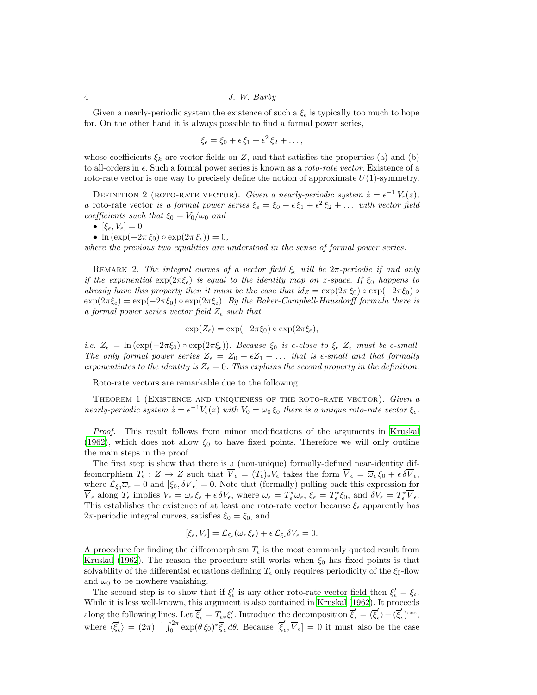Given a nearly-periodic system the existence of such a  $\xi_{\epsilon}$  is typically too much to hope for. On the other hand it is always possible to find a formal power series,

$$
\xi_{\epsilon} = \xi_0 + \epsilon \, \xi_1 + \epsilon^2 \, \xi_2 + \ldots,
$$

whose coefficients  $\xi_k$  are vector fields on Z, and that satisfies the properties (a) and (b) to all-orders in  $\epsilon$ . Such a formal power series is known as a *roto-rate vector*. Existence of a roto-rate vector is one way to precisely define the notion of approximate  $U(1)$ -symmetry.

<span id="page-3-0"></span>DEFINITION 2 (ROTO-RATE VECTOR). Given a nearly-periodic system  $\dot{z} = \epsilon^{-1} V_{\epsilon}(z)$ , a roto-rate vector is a formal power series  $\xi_{\epsilon} = \xi_0 + \epsilon \xi_1 + \epsilon^2 \xi_2 + \dots$  with vector field coefficients such that  $\xi_0 = V_0/\omega_0$  and

$$
\bullet\ [\xi_\epsilon,V_\epsilon]=0
$$

•  $\ln (\exp(-2\pi \xi_0) \circ \exp(2\pi \xi_\epsilon)) = 0,$ 

where the previous two equalities are understood in the sense of formal power series.

REMARK 2. The integral curves of a vector field  $\xi_{\epsilon}$  will be  $2\pi$ -periodic if and only if the exponential  $\exp(2\pi\xi_{\epsilon})$  is equal to the identity map on z-space. If  $\xi_0$  happens to already have this property then it must be the case that  $id_Z = \exp(2\pi \xi_0) \circ \exp(-2\pi \xi_0) \circ$  $\exp(2\pi\xi_{\epsilon}) = \exp(-2\pi\xi_0) \circ \exp(2\pi\xi_{\epsilon})$ . By the Baker-Campbell-Hausdorff formula there is a formal power series vector field  $Z_{\epsilon}$  such that

$$
\exp(Z_{\epsilon}) = \exp(-2\pi \xi_0) \circ \exp(2\pi \xi_{\epsilon}),
$$

i.e.  $Z_{\epsilon} = \ln(\exp(-2\pi \xi_0) \circ \exp(2\pi \xi_{\epsilon}))$ . Because  $\xi_0$  is  $\epsilon$ -close to  $\xi_{\epsilon}$   $Z_{\epsilon}$  must be  $\epsilon$ -small. The only formal power series  $Z_{\epsilon} = Z_0 + \epsilon Z_1 + \ldots$  that is  $\epsilon$ -small and that formally exponentiates to the identity is  $Z_{\epsilon} = 0$ . This explains the second property in the definition.

<span id="page-3-1"></span>Roto-rate vectors are remarkable due to the following.

THEOREM 1 (EXISTENCE AND UNIQUENESS OF THE ROTO-RATE VECTOR). Given a nearly-periodic system  $\dot{z} = \epsilon^{-1} V_{\epsilon}(z)$  with  $V_0 = \omega_0 \xi_0$  there is a unique roto-rate vector  $\xi_{\epsilon}$ .

Proof. This result follows from minor modifications of the arguments in [Kruskal](#page-31-1) [\(1962\)](#page-31-1), which does not allow  $\xi_0$  to have fixed points. Therefore we will only outline the main steps in the proof.

The first step is show that there is a (non-unique) formally-defined near-identity diffeomorphism  $T_{\epsilon}: Z \to Z$  such that  $\overline{V}_{\epsilon} = (T_{\epsilon})_{*}V_{\epsilon}$  takes the form  $\overline{V}_{\epsilon} = \overline{\omega}_{\epsilon} \xi_0 + \epsilon \delta \overline{V}_{\epsilon}$ , where  $\mathcal{L}_{\xi_0}\overline{\omega}_{\epsilon}=0$  and  $[\xi_0, \delta\overline{V}_{\epsilon}]=0$ . Note that (formally) pulling back this expression for  $\overline{V}_{\epsilon}$  along  $T_{\epsilon}$  implies  $V_{\epsilon} = \omega_{\epsilon} \xi_{\epsilon} + \epsilon \delta V_{\epsilon}$ , where  $\omega_{\epsilon} = T_{\epsilon}^* \overline{\omega}_{\epsilon}$ ,  $\xi_{\epsilon} = T_{\epsilon}^* \xi_0$ , and  $\delta V_{\epsilon} = T_{\epsilon}^* \overline{V}_{\epsilon}$ . This establishes the existence of at least one roto-rate vector because  $\xi_{\epsilon}$  apparently has  $2\pi$ -periodic integral curves, satisfies  $\xi_0 = \xi_0$ , and

$$
[\xi_{\epsilon}, V_{\epsilon}] = \mathcal{L}_{\xi_{\epsilon}}(\omega_{\epsilon} \xi_{\epsilon}) + \epsilon \mathcal{L}_{\xi_{\epsilon}} \delta V_{\epsilon} = 0.
$$

A procedure for finding the diffeomorphism  $T_{\epsilon}$  is the most commonly quoted result from [Kruskal \(1962\)](#page-31-1). The reason the procedure still works when  $\xi_0$  has fixed points is that solvability of the differential equations defining  $T_{\epsilon}$  only requires periodicity of the  $\xi_0$ -flow and  $\omega_0$  to be nowhere vanishing.

The second step is to show that if  $\xi'_{\epsilon}$  is any other roto-rate vector field then  $\xi'_{\epsilon} = \xi_{\epsilon}$ . While it is less well-known, this argument is also contained in [Kruskal \(1962\)](#page-31-1). It proceeds along the following lines. Let  $\overline{\xi}'_{\epsilon} = T_{\epsilon \ast} \xi'_{\epsilon}$ . Introduce the decomposition  $\overline{\xi}'_{\epsilon} = \overline{\xi}'_{\epsilon}$  $\langle \rangle + (\overline{\xi}'_{\epsilon})$  $(\epsilon)^{\rm osc},$ where  $\langle \overline{\xi}'_e \rangle$  $\langle \xi \rangle = (2\pi)^{-1} \int_0^{2\pi} \exp(\theta \, \xi_0)^* \overline{\xi}_{\epsilon} \, d\theta$ . Because  $[\overline{\xi}'_{\epsilon}]$  $[t_{\epsilon}, V_{\epsilon}] = 0$  it must also be the case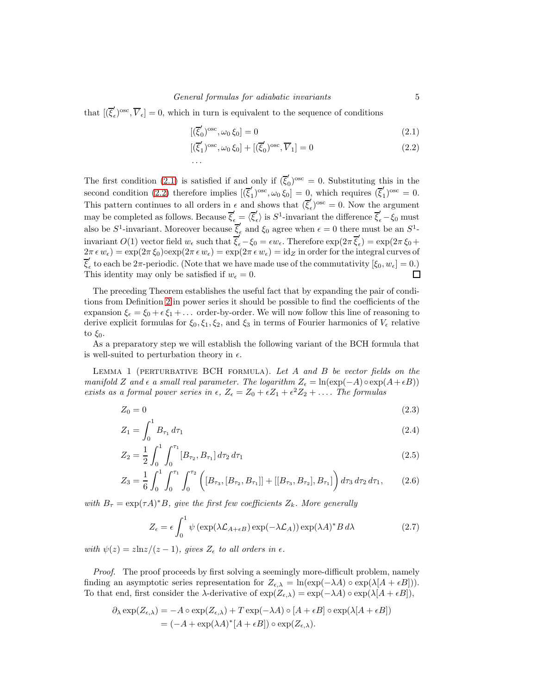that  $\overline{(\xi)}$  $(\mathbf{v}_{\epsilon})^{\text{osc}}, \overline{V}_{\epsilon}$  = 0, which in turn is equivalent to the sequence of conditions

<span id="page-4-1"></span><span id="page-4-0"></span>
$$
[(\overline{\xi}'_0)^{\text{osc}}, \omega_0 \xi_0] = 0 \tag{2.1}
$$

$$
[(\overline{\xi}'_1)^{\text{osc}}, \omega_0 \xi_0] + [(\overline{\xi}'_0)^{\text{osc}}, \overline{V}_1] = 0
$$
\n
$$
\dots \tag{2.2}
$$

The first condition [\(2.1\)](#page-4-0) is satisfied if and only if  $(\bar{\xi}'_0)$  $\eta_0^{'}$ <sup>osc</sup> = 0. Substituting this in the second condition [\(2.2\)](#page-4-1) therefore implies  $[(\overline{\xi}_1^{\prime})]$  $\int_{1}^{\prime} \text{cos} \theta, \omega_0 \, \xi_0$  = 0, which requires  $(\overline{\xi}_1^{\prime})$  $j^{'}_{1})^{\rm osc}=0.$ This pattern continues to all orders in  $\epsilon$  and shows that  $(\bar{\xi}'_{\epsilon})$  $\epsilon^{'}$ ,  $e^{i\omega}$  = 0. Now the argument may be completed as follows. Because  $\overline{\xi}'_{\epsilon} = \langle \overline{\xi}'_{\epsilon} \rangle$  $\overline{\xi}'_{\epsilon}$  is  $S^1$ -invariant the difference  $\overline{\xi}'_{\epsilon} - \xi_0$  must also be  $S^1$ -invariant. Moreover because  $\overline{\xi}'_e$  $\zeta_{\epsilon}$  and  $\xi_0$  agree when  $\epsilon = 0$  there must be an  $S^1$ invariant  $O(1)$  vector field  $w_{\epsilon}$  such that  $\overline{\xi}'_{\epsilon} - \xi_0 = \epsilon w_{\epsilon}$ . Therefore  $\exp(2\pi \overline{\xi}'_{\epsilon})$  $\zeta_{\epsilon}$ ) = exp(2 $\pi \xi_0 +$  $2\pi \epsilon w_{\epsilon}$  = exp $(2\pi \xi_0)$  $\exp(2\pi \epsilon w_{\epsilon})$  = exp $(2\pi \epsilon w_{\epsilon})$  = id<sub>Z</sub> in order for the integral curves of ξ ′  $\mathcal{L}_{\epsilon}$  to each be  $2\pi$ -periodic. (Note that we have made use of the commutativity  $[\xi_0, w_{\epsilon}] = 0$ .) This identity may only be satisfied if  $w_{\epsilon} = 0$ .  $\Box$ 

The preceding Theorem establishes the useful fact that by expanding the pair of conditions from Definition [2](#page-3-0) in power series it should be possible to find the coefficients of the expansion  $\xi_{\epsilon} = \xi_0 + \epsilon \xi_1 + \ldots$  order-by-order. We will now follow this line of reasoning to derive explicit formulas for  $\xi_0, \xi_1, \xi_2$ , and  $\xi_3$  in terms of Fourier harmonics of  $V_{\epsilon}$  relative to  $\xi_0$ .

<span id="page-4-6"></span>As a preparatory step we will establish the following variant of the BCH formula that is well-suited to perturbation theory in  $\epsilon$ .

LEMMA 1 (PERTURBATIVE BCH FORMULA). Let  $A$  and  $B$  be vector fields on the manifold Z and  $\epsilon$  a small real parameter. The logarithm  $Z_{\epsilon} = \ln(\exp(-A) \circ \exp(A + \epsilon B))$ exists as a formal power series in  $\epsilon$ ,  $Z_{\epsilon} = Z_0 + \epsilon Z_1 + \epsilon^2 Z_2 + \ldots$ . The formulas

$$
Z_0 = 0 \tag{2.3}
$$

$$
Z_1 = \int_0^1 B_{\tau_1} d\tau_1 \tag{2.4}
$$

$$
Z_2 = \frac{1}{2} \int_0^1 \int_0^{\tau_1} [B_{\tau_2}, B_{\tau_1}] d\tau_2 d\tau_1
$$
\n(2.5)

$$
Z_3 = \frac{1}{6} \int_0^1 \int_0^{\tau_1} \int_0^{\tau_2} \left( [B_{\tau_3}, [B_{\tau_2}, B_{\tau_1}]] + [[B_{\tau_3}, B_{\tau_2}], B_{\tau_1}] \right) d\tau_3 d\tau_2 d\tau_1, \qquad (2.6)
$$

with  $B_{\tau} = \exp(\tau A)^* B$ , give the first few coefficients  $Z_k$ . More generally

<span id="page-4-5"></span><span id="page-4-4"></span><span id="page-4-3"></span><span id="page-4-2"></span>
$$
Z_{\epsilon} = \epsilon \int_0^1 \psi \left( \exp(\lambda \mathcal{L}_{A+\epsilon B}) \exp(-\lambda \mathcal{L}_A) \right) \exp(\lambda A)^* B \, d\lambda \tag{2.7}
$$

with  $\psi(z) = \frac{z \ln z}{z - 1}$ , gives  $Z_{\epsilon}$  to all orders in  $\epsilon$ .

Proof. The proof proceeds by first solving a seemingly more-difficult problem, namely finding an asymptotic series representation for  $Z_{\epsilon,\lambda} = \ln(\exp(-\lambda A) \circ \exp(\lambda [A + \epsilon B]))$ . To that end, first consider the  $\lambda$ -derivative of  $\exp(Z_{\epsilon,\lambda}) = \exp(-\lambda A) \circ \exp(\lambda[A + \epsilon B]),$ 

$$
\partial_{\lambda} \exp(Z_{\epsilon,\lambda}) = -A \circ \exp(Z_{\epsilon,\lambda}) + T \exp(-\lambda A) \circ [A + \epsilon B] \circ \exp(\lambda[A + \epsilon B])
$$
  
=  $(-A + \exp(\lambda A)^{*}[A + \epsilon B]) \circ \exp(Z_{\epsilon,\lambda}).$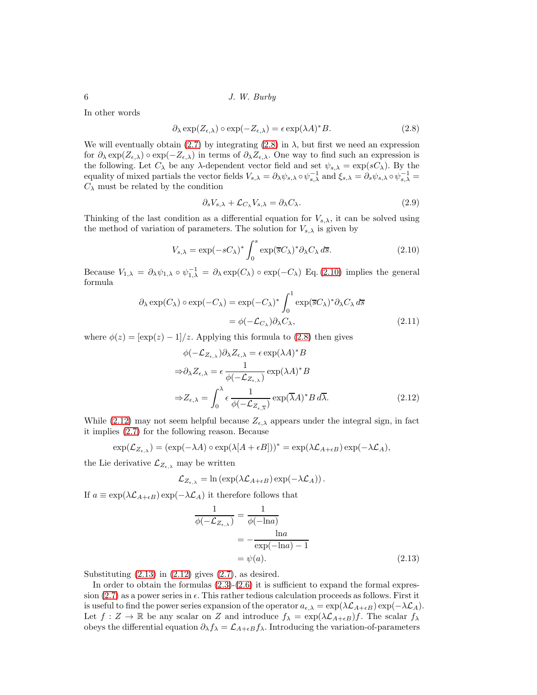In other words

$$
\partial_{\lambda} \exp(Z_{\epsilon,\lambda}) \circ \exp(-Z_{\epsilon,\lambda}) = \epsilon \exp(\lambda A)^{*} B. \tag{2.8}
$$

We will eventually obtain [\(2.7\)](#page-4-2) by integrating [\(2.8\)](#page-5-0) in  $\lambda$ , but first we need an expression for  $\partial_{\lambda} \exp(Z_{\epsilon,\lambda}) \circ \exp(-Z_{\epsilon,\lambda})$  in terms of  $\partial_{\lambda} Z_{\epsilon,\lambda}$ . One way to find such an expression is the following. Let  $C_{\lambda}$  be any  $\lambda$ -dependent vector field and set  $\psi_{s,\lambda} = \exp(sC_{\lambda})$ . By the equality of mixed partials the vector fields  $V_{s,\lambda} = \partial_{\lambda} \psi_{s,\lambda} \circ \psi_{s,\lambda}^{-1}$  and  $\xi_{s,\lambda} = \partial_s \psi_{s,\lambda} \circ \psi_{s,\lambda}^{-1} =$  $C_{\lambda}$  must be related by the condition

<span id="page-5-4"></span><span id="page-5-1"></span><span id="page-5-0"></span>
$$
\partial_s V_{s,\lambda} + \mathcal{L}_{C_{\lambda}} V_{s,\lambda} = \partial_{\lambda} C_{\lambda}.
$$
\n(2.9)

Thinking of the last condition as a differential equation for  $V_{s,\lambda}$ , it can be solved using the method of variation of parameters. The solution for  $V_{s,\lambda}$  is given by

$$
V_{s,\lambda} = \exp(-sC_{\lambda})^* \int_0^s \exp(\overline{s}C_{\lambda})^* \partial_{\lambda} C_{\lambda} d\overline{s}.
$$
 (2.10)

Because  $V_{1,\lambda} = \partial_{\lambda} \psi_{1,\lambda} \circ \psi_{1,\lambda}^{-1} = \partial_{\lambda} \exp(C_{\lambda}) \circ \exp(-C_{\lambda})$  Eq. [\(2.10\)](#page-5-1) implies the general formula

$$
\partial_{\lambda} \exp(C_{\lambda}) \circ \exp(-C_{\lambda}) = \exp(-C_{\lambda})^* \int_0^1 \exp(\overline{s}C_{\lambda})^* \partial_{\lambda} C_{\lambda} d\overline{s}
$$

$$
= \phi(-\mathcal{L}_{C_{\lambda}}) \partial_{\lambda} C_{\lambda}, \tag{2.11}
$$

where  $\phi(z) = [\exp(z) - 1]/z$ . Applying this formula to [\(2.8\)](#page-5-0) then gives

<span id="page-5-2"></span>
$$
\phi(-\mathcal{L}_{Z_{\epsilon,\lambda}})\partial_{\lambda}Z_{\epsilon,\lambda} = \epsilon \exp(\lambda A)^* B
$$
  
\n
$$
\Rightarrow \partial_{\lambda}Z_{\epsilon,\lambda} = \epsilon \frac{1}{\phi(-\mathcal{L}_{Z_{\epsilon,\lambda}})} \exp(\lambda A)^* B
$$
  
\n
$$
\Rightarrow Z_{\epsilon,\lambda} = \int_0^{\lambda} \epsilon \frac{1}{\phi(-\mathcal{L}_{Z_{\epsilon,\overline{\lambda}}})} \exp(\overline{\lambda}A)^* B \,d\overline{\lambda}.
$$
\n(2.12)

While [\(2.12\)](#page-5-2) may not seem helpful because  $Z_{\epsilon,\lambda}$  appears under the integral sign, in fact it implies [\(2.7\)](#page-4-2) for the following reason. Because

$$
\exp(\mathcal{L}_{Z_{\epsilon,\lambda}}) = (\exp(-\lambda A) \circ \exp(\lambda[A + \epsilon B]))^* = \exp(\lambda \mathcal{L}_{A + \epsilon B}) \exp(-\lambda \mathcal{L}_A),
$$

the Lie derivative  $\mathcal{L}_{Z_{\epsilon,\lambda}}$  may be written

$$
\mathcal{L}_{Z_{\epsilon,\lambda}} = \ln \left( \exp(\lambda \mathcal{L}_{A+\epsilon B}) \exp(-\lambda \mathcal{L}_A) \right).
$$

If  $a \equiv \exp(\lambda \mathcal{L}_{A+\epsilon B}) \exp(-\lambda \mathcal{L}_A)$  it therefore follows that

<span id="page-5-3"></span>
$$
\frac{1}{\phi(-\mathcal{L}_{Z_{\epsilon,\lambda}})} = \frac{1}{\phi(-\ln a)}
$$

$$
= -\frac{\ln a}{\exp(-\ln a) - 1}
$$

$$
= \psi(a). \tag{2.13}
$$

Substituting  $(2.13)$  in  $(2.12)$  gives  $(2.7)$ , as desired.

In order to obtain the formulas  $(2.3)-(2.6)$  $(2.3)-(2.6)$  it is sufficient to expand the formal expres-sion [\(2.7\)](#page-4-2) as a power series in  $\epsilon$ . This rather tedious calculation proceeds as follows. First it is useful to find the power series expansion of the operator  $a_{\epsilon,\lambda} = \exp(\lambda \mathcal{L}_{A+\epsilon B}) \exp(-\lambda \mathcal{L}_A)$ . Let  $f: Z \to \mathbb{R}$  be any scalar on Z and introduce  $f_{\lambda} = \exp(\lambda \mathcal{L}_{A+\epsilon B})f$ . The scalar  $f_{\lambda}$ obeys the differential equation  $\partial_{\lambda} f_{\lambda} = \mathcal{L}_{A+\epsilon B} f_{\lambda}$ . Introducing the variation-of-parameters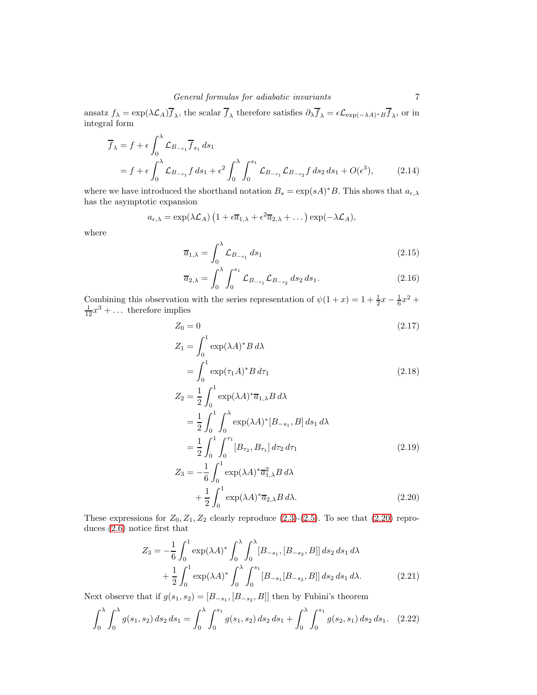ansatz  $f_{\lambda} = \exp(\lambda \mathcal{L}_A) f_{\lambda}$ , the scalar  $f_{\lambda}$  therefore satisfies  $\partial_{\lambda} f_{\lambda} = \epsilon \mathcal{L}_{\exp(-\lambda A)^* B} f_{\lambda}$ , or in integral form

$$
\overline{f}_{\lambda} = f + \epsilon \int_0^{\lambda} \mathcal{L}_{B_{-s_1}} \overline{f}_{s_1} ds_1
$$
  
=  $f + \epsilon \int_0^{\lambda} \mathcal{L}_{B_{-s_1}} f ds_1 + \epsilon^2 \int_0^{\lambda} \int_0^{s_1} \mathcal{L}_{B_{-s_1}} \mathcal{L}_{B_{-s_2}} f ds_2 ds_1 + O(\epsilon^3),$  (2.14)

where we have introduced the shorthand notation  $B_s = \exp(sA)^*B$ . This shows that  $a_{\epsilon,\lambda}$ has the asymptotic expansion

$$
a_{\epsilon,\lambda} = \exp(\lambda \mathcal{L}_A) \left( 1 + \epsilon \overline{a}_{1,\lambda} + \epsilon^2 \overline{a}_{2,\lambda} + \dots \right) \exp(-\lambda \mathcal{L}_A),
$$

where

$$
\overline{a}_{1,\lambda} = \int_0^\lambda \mathcal{L}_{B_{-s_1}} ds_1 \tag{2.15}
$$

$$
\overline{a}_{2,\lambda} = \int_0^{\lambda} \int_0^{s_1} \mathcal{L}_{B_{-s_1}} \mathcal{L}_{B_{-s_2}} ds_2 ds_1.
$$
 (2.16)

Combining this observation with the series representation of  $\psi(1+x) = 1 + \frac{1}{2}x - \frac{1}{6}x^2 + \frac{1}{12}x^3 + \dots$  therefore implies

$$
Z_0 = 0\tag{2.17}
$$

$$
Z_1 = \int_0^1 \exp(\lambda A)^* B \, d\lambda
$$
  
= 
$$
\int_0^1 \exp(\tau_1 A)^* B \, d\tau_1
$$
 (2.18)

$$
Z_2 = \frac{1}{2} \int_0^1 \exp(\lambda A)^* \overline{a}_{1,\lambda} B \, d\lambda
$$
  
=  $\frac{1}{2} \int_0^1 \int_0^{\lambda} \exp(\lambda A)^* [B_{-s_1}, B] \, ds_1 \, d\lambda$   
=  $\frac{1}{2} \int_0^1 \int_0^{\tau_1} [B_{\tau_2}, B_{\tau_1}] \, d\tau_2 \, d\tau_1$  (2.19)

<span id="page-6-0"></span>
$$
Z_3 = -\frac{1}{6} \int_0^1 \exp(\lambda A)^* \overline{a}_{1,\lambda}^2 B \, d\lambda
$$

$$
+ \frac{1}{2} \int_0^1 \exp(\lambda A)^* \overline{a}_{2,\lambda} B \, d\lambda. \tag{2.20}
$$

These expressions for  $Z_0, Z_1, Z_2$  clearly reproduce  $(2.3)-(2.5)$  $(2.3)-(2.5)$ . To see that  $(2.20)$  reproduces [\(2.6\)](#page-4-4) notice first that

$$
Z_3 = -\frac{1}{6} \int_0^1 \exp(\lambda A)^* \int_0^{\lambda} \int_0^{\lambda} [B_{-s_1}, [B_{-s_2}, B]] ds_2 ds_1 d\lambda + \frac{1}{2} \int_0^1 \exp(\lambda A)^* \int_0^{\lambda} \int_0^{s_1} [B_{-s_1}[B_{-s_2}, B]] ds_2 ds_1 d\lambda.
$$
 (2.21)

Next observe that if  $g(s_1, s_2) = [B_{-s_1}, [B_{-s_2}, B]]$  then by Fubini's theorem

$$
\int_0^\lambda \int_0^\lambda g(s_1, s_2) \, ds_2 \, ds_1 = \int_0^\lambda \int_0^{s_1} g(s_1, s_2) \, ds_2 \, ds_1 + \int_0^\lambda \int_0^{s_1} g(s_2, s_1) \, ds_2 \, ds_1. \tag{2.22}
$$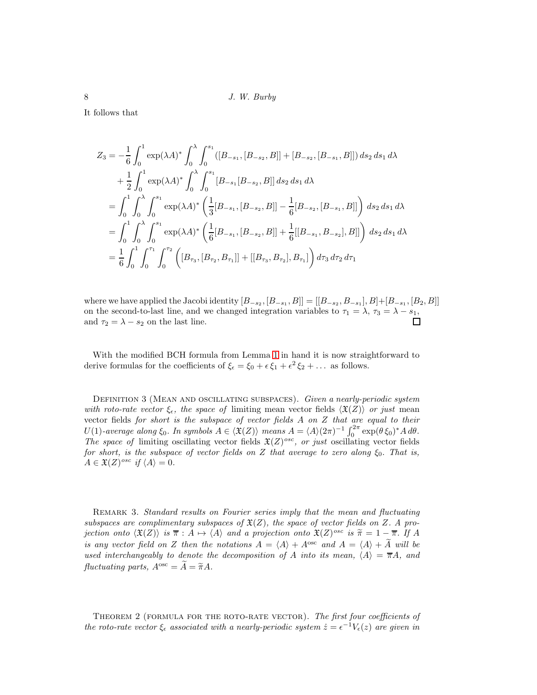It follows that

$$
Z_3 = -\frac{1}{6} \int_0^1 \exp(\lambda A)^* \int_0^{\lambda} \int_0^{s_1} ([B_{-s_1}, [B_{-s_2}, B]] + [B_{-s_2}, [B_{-s_1}, B]]) ds_2 ds_1 d\lambda
$$
  
+  $\frac{1}{2} \int_0^1 \exp(\lambda A)^* \int_0^{\lambda} \int_0^{s_1} [B_{-s_1}[B_{-s_2}, B]] ds_2 ds_1 d\lambda$   
=  $\int_0^1 \int_0^{\lambda} \int_0^{s_1} \exp(\lambda A)^* \left( \frac{1}{3} [B_{-s_1}, [B_{-s_2}, B]] - \frac{1}{6} [B_{-s_2}, [B_{-s_1}, B]] \right) ds_2 ds_1 d\lambda$   
=  $\int_0^1 \int_0^{\lambda} \int_0^{s_1} \exp(\lambda A)^* \left( \frac{1}{6} [B_{-s_1}, [B_{-s_2}, B]] + \frac{1}{6} [[B_{-s_1}, B_{-s_2}], B]] \right) ds_2 ds_1 d\lambda$   
=  $\frac{1}{6} \int_0^1 \int_0^{\tau_1} \int_0^{\tau_2} \left( [B_{\tau_3}, [B_{\tau_2}, B_{\tau_1}]] + [[B_{\tau_3}, B_{\tau_2}], B_{\tau_1}] \right) d\tau_3 d\tau_2 d\tau_1$ 

where we have applied the Jacobi identity  $[B_{-s_2}, [B_{-s_1}, B]] = [[B_{-s_2}, B_{-s_1}], B]+[B_{-s_1}, [B_2, B]]$ on the second-to-last line, and we changed integration variables to  $\tau_1 = \lambda$ ,  $\tau_3 = \lambda - s_1$ , and  $\tau_2 = \lambda - s_2$  on the last line.

With the modified BCH formula from Lemma [1](#page-4-6) in hand it is now straightforward to derive formulas for the coefficients of  $\xi_{\epsilon} = \xi_0 + \epsilon \xi_1 + \epsilon^2 \xi_2 + \dots$  as follows.

DEFINITION 3 (MEAN AND OSCILLATING SUBSPACES). Given a nearly-periodic system with roto-rate vector  $\xi_{\epsilon}$ , the space of limiting mean vector fields  $\langle \mathfrak{X}(Z) \rangle$  or just mean vector fields for short is the subspace of vector fields A on Z that are equal to their U(1)-average along  $\xi_0$ . In symbols  $A \in \langle \mathfrak{X}(Z) \rangle$  means  $A = \langle A \rangle (2\pi)^{-1} \int_0^{2\pi} \exp(\theta \xi_0)^* A \, d\theta$ . The space of limiting oscillating vector fields  $\mathfrak{X}(Z)^{osc}$ , or just oscillating vector fields for short, is the subspace of vector fields on Z that average to zero along  $\xi_0$ . That is,  $A \in \mathfrak{X}(Z)^{osc}$  if  $\langle A \rangle = 0$ .

REMARK 3. Standard results on Fourier series imply that the mean and fluctuating subspaces are complimentary subspaces of  $\mathfrak{X}(Z)$ , the space of vector fields on Z. A projection onto  $\langle \mathfrak{X}(Z) \rangle$  is  $\overline{\pi} : A \mapsto \langle A \rangle$  and a projection onto  $\mathfrak{X}(Z)^{osc}$  is  $\widetilde{\pi} = 1 - \overline{\pi}$ . If A is any vector field on Z then the notations  $A = \langle A \rangle + A^{\text{osc}}$  and  $A = \langle A \rangle + \widetilde{A}$  will be used interchangeably to denote the decomposition of A into its mean,  $\langle A \rangle = \overline{\pi}A$ , and fluctuating parts,  $A^{\rm osc} = \widetilde{A} = \widetilde{\pi}A$ .

<span id="page-7-0"></span>THEOREM 2 (FORMULA FOR THE ROTO-RATE VECTOR). The first four coefficients of the roto-rate vector  $\xi_{\epsilon}$  associated with a nearly-periodic system  $\dot{z} = \epsilon^{-1} V_{\epsilon}(z)$  are given in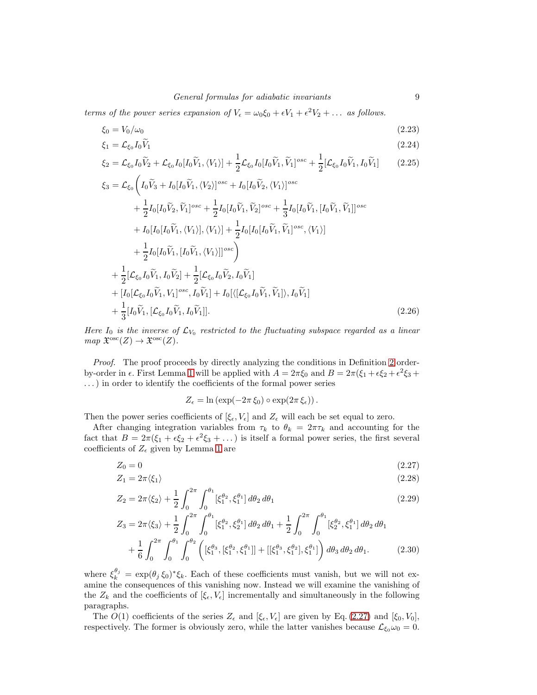terms of the power series expansion of  $V_{\epsilon} = \omega_0 \xi_0 + \epsilon V_1 + \epsilon^2 V_2 + \dots$  as follows.

$$
\xi_0 = V_0/\omega_0 \tag{2.23}
$$

<span id="page-8-2"></span>
$$
\xi_1 = \mathcal{L}_{\xi_0} I_0 V_1 \tag{2.24}
$$

<span id="page-8-3"></span>
$$
\xi_2 = \mathcal{L}_{\xi_0} I_0 \widetilde{V}_2 + \mathcal{L}_{\xi_0} I_0 [I_0 \widetilde{V}_1, \langle V_1 \rangle] + \frac{1}{2} \mathcal{L}_{\xi_0} I_0 [I_0 \widetilde{V}_1, \widetilde{V}_1]^{osc} + \frac{1}{2} [\mathcal{L}_{\xi_0} I_0 \widetilde{V}_1, I_0 \widetilde{V}_1] \tag{2.25}
$$

$$
\xi_3 = \mathcal{L}_{\xi_0} \Big( I_0 \tilde{V}_3 + I_0 [I_0 \tilde{V}_1, \langle V_2 \rangle]^{osc} + I_0 [I_0 \tilde{V}_2, \langle V_1 \rangle]^{osc} \n+ \frac{1}{2} I_0 [I_0 \tilde{V}_2, \tilde{V}_1]^{osc} + \frac{1}{2} I_0 [I_0 \tilde{V}_1, \tilde{V}_2]^{osc} + \frac{1}{3} I_0 [I_0 \tilde{V}_1, [I_0 \tilde{V}_1, \tilde{V}_1]]^{osc} \n+ I_0 [I_0 [I_0 \tilde{V}_1, \langle V_1 \rangle], \langle V_1 \rangle] + \frac{1}{2} I_0 [I_0 [I_0 \tilde{V}_1, \tilde{V}_1]^{osc}, \langle V_1 \rangle] \n+ \frac{1}{2} I_0 [I_0 \tilde{V}_1, [I_0 \tilde{V}_1, \langle V_1 \rangle]]^{osc} \Big) \n+ \frac{1}{2} [\mathcal{L}_{\xi_0} I_0 \tilde{V}_1, I_0 \tilde{V}_2] + \frac{1}{2} [\mathcal{L}_{\xi_0} I_0 \tilde{V}_2, I_0 \tilde{V}_1] \n+ [I_0 [\mathcal{L}_{\xi_0} I_0 \tilde{V}_1, V_1]^{osc}, I_0 \tilde{V}_1] + I_0 [\langle [\mathcal{L}_{\xi_0} I_0 \tilde{V}_1, \tilde{V}_1] \rangle, I_0 \tilde{V}_1] \n+ \frac{1}{3} [I_0 \tilde{V}_1, [\mathcal{L}_{\xi_0} I_0 \tilde{V}_1, I_0 \tilde{V}_1]].
$$
\n(2.26)

Here  $I_0$  is the inverse of  $\mathcal{L}_{V_0}$  restricted to the fluctuating subspace regarded as a linear  $map \ \mathfrak{X}^{\mathrm{osc}}(Z) \to \mathfrak{X}^{\mathrm{osc}}(Z).$ 

Proof. The proof proceeds by directly analyzing the conditions in Definition [2](#page-3-0) orderby-order in  $\epsilon$ . First Lemma [1](#page-4-6) will be applied with  $A = 2\pi \xi_0$  and  $B = 2\pi (\xi_1 + \epsilon \xi_2 + \epsilon^2 \xi_3 + \epsilon^3 \xi_4)$ . . .) in order to identify the coefficients of the formal power series

<span id="page-8-4"></span><span id="page-8-1"></span><span id="page-8-0"></span>
$$
Z_{\epsilon} = \ln \left( \exp(-2\pi \xi_0) \circ \exp(2\pi \xi_{\epsilon}) \right).
$$

Then the power series coefficients of  $[\xi_{\epsilon}, V_{\epsilon}]$  and  $Z_{\epsilon}$  will each be set equal to zero.

After changing integration variables from  $\tau_k$  to  $\theta_k = 2\pi \tau_k$  and accounting for the fact that  $B = 2\pi(\xi_1 + \epsilon \xi_2 + \epsilon^2 \xi_3 + ...)$  is itself a formal power series, the first several coefficients of  $Z_{\epsilon}$  given by Lemma [1](#page-4-6) are

$$
Z_0 = 0 \tag{2.27}
$$

$$
Z_1 = 2\pi \langle \xi_1 \rangle \tag{2.28}
$$

$$
Z_2 = 2\pi \langle \xi_2 \rangle + \frac{1}{2} \int_0^{2\pi} \int_0^{\theta_1} [\xi_1^{\theta_2}, \xi_1^{\theta_1}] d\theta_2 d\theta_1
$$
 (2.29)

$$
Z_3 = 2\pi \langle \xi_3 \rangle + \frac{1}{2} \int_0^{2\pi} \int_0^{\theta_1} [\xi_1^{\theta_2}, \xi_2^{\theta_1}] d\theta_2 d\theta_1 + \frac{1}{2} \int_0^{2\pi} \int_0^{\theta_1} [\xi_2^{\theta_2}, \xi_1^{\theta_1}] d\theta_2 d\theta_1 + \frac{1}{6} \int_0^{2\pi} \int_0^{\theta_1} \int_0^{\theta_2} \left( [\xi_1^{\theta_3}, [\xi_1^{\theta_2}, \xi_1^{\theta_1}]] + [[\xi_1^{\theta_3}, \xi_1^{\theta_2}], \xi_1^{\theta_1}] \right) d\theta_3 d\theta_2 d\theta_1.
$$
 (2.30)

where  $\xi_k^{\theta_j} = \exp(\theta_j \xi_0)^* \xi_k$ . Each of these coefficients must vanish, but we will not examine the consequences of this vanishing now. Instead we will examine the vanishing of the  $Z_k$  and the coefficients of  $[\xi_{\epsilon}, V_{\epsilon}]$  incrementally and simultaneously in the following paragraphs.

The  $O(1)$  coefficients of the series  $Z_{\epsilon}$  and  $[\xi_{\epsilon}, V_{\epsilon}]$  are given by Eq. [\(2.27\)](#page-8-0) and  $[\xi_0, V_0]$ , respectively. The former is obviously zero, while the latter vanishes because  $\mathcal{L}_{\xi_0}\omega_0 = 0$ .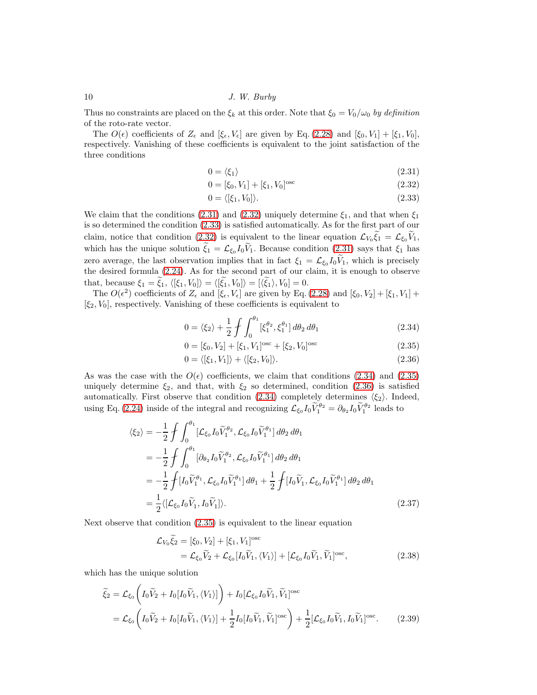Thus no constraints are placed on the  $\xi_k$  at this order. Note that  $\xi_0 = V_0/\omega_0$  by definition of the roto-rate vector.

The  $O(\epsilon)$  coefficients of  $Z_{\epsilon}$  and  $[\xi_{\epsilon}, V_{\epsilon}]$  are given by Eq. [\(2.28\)](#page-8-1) and  $[\xi_0, V_1] + [\xi_1, V_0]$ , respectively. Vanishing of these coefficients is equivalent to the joint satisfaction of the three conditions

$$
0 = \langle \xi_1 \rangle \tag{2.31}
$$

<span id="page-9-1"></span><span id="page-9-0"></span>
$$
0 = [\xi_0, V_1] + [\xi_1, V_0]^{\text{osc}} \tag{2.32}
$$

<span id="page-9-2"></span>
$$
0 = \langle [\xi_1, V_0] \rangle. \tag{2.33}
$$

We claim that the conditions [\(2.31\)](#page-9-0) and [\(2.32\)](#page-9-1) uniquely determine  $\xi_1$ , and that when  $\xi_1$ is so determined the condition [\(2.33\)](#page-9-2) is satisfied automatically. As for the first part of our claim, notice that condition [\(2.32\)](#page-9-1) is equivalent to the linear equation  $\mathcal{L}_{V_0} \xi_1 = \mathcal{L}_{\xi_0} V_1$ , which has the unique solution  $\xi_1 = \mathcal{L}_{\xi_0} I_0 V_1$ . Because condition  $(2.31)$  says that  $\xi_1$  has zero average, the last observation implies that in fact  $\xi_1 = \mathcal{L}_{\xi_0} I_0 V_1$ , which is precisely the desired formula [\(2.24\)](#page-8-2). As for the second part of our claim, it is enough to observe that, because  $\xi_1 = \xi_1$ ,  $\langle [\xi_1, V_0] \rangle = \langle [\xi_1, V_0] \rangle = [\langle \xi_1 \rangle, V_0] = 0.$ 

The  $O(\epsilon^2)$  coefficients of  $Z_{\epsilon}$  and  $[\xi_{\epsilon}, V_{\epsilon}]$  are given by Eq. [\(2.28\)](#page-8-1) and  $[\xi_0, V_2] + [\xi_1, V_1] +$  $[\xi_2, V_0]$ , respectively. Vanishing of these coefficients is equivalent to

<span id="page-9-3"></span>
$$
0 = \langle \xi_2 \rangle + \frac{1}{2} \int \int_0^{\theta_1} [\xi_1^{\theta_2}, \xi_1^{\theta_1}] d\theta_2 d\theta_1
$$
 (2.34)

<span id="page-9-4"></span>
$$
0 = [\xi_0, V_2] + [\xi_1, V_1]^{\text{osc}} + [\xi_2, V_0]^{\text{osc}}
$$
\n(2.35)

<span id="page-9-5"></span>
$$
0 = \langle [\xi_1, V_1] \rangle + \langle [\xi_2, V_0] \rangle. \tag{2.36}
$$

As was the case with the  $O(\epsilon)$  coefficients, we claim that conditions [\(2.34\)](#page-9-3) and [\(2.35\)](#page-9-4) uniquely determine  $\xi_2$ , and that, with  $\xi_2$  so determined, condition [\(2.36\)](#page-9-5) is satisfied automatically. First observe that condition [\(2.34\)](#page-9-3) completely determines  $\langle \xi_2 \rangle$ . Indeed, using Eq. [\(2.24\)](#page-8-2) inside of the integral and recognizing  $\mathcal{L}_{\xi_0}I_0\tilde{V}_1^{\theta_2} = \partial_{\theta_2}I_0\tilde{V}_1^{\theta_2}$  leads to

$$
\langle \xi_2 \rangle = -\frac{1}{2} \int \int_0^{\theta_1} [\mathcal{L}_{\xi_0} I_0 \widetilde{V}_1^{\theta_2}, \mathcal{L}_{\xi_0} I_0 \widetilde{V}_1^{\theta_1}] d\theta_2 d\theta_1
$$
  
\n
$$
= -\frac{1}{2} \int \int_0^{\theta_1} [\partial_{\theta_2} I_0 \widetilde{V}_1^{\theta_2}, \mathcal{L}_{\xi_0} I_0 \widetilde{V}_1^{\theta_1}] d\theta_2 d\theta_1
$$
  
\n
$$
= -\frac{1}{2} \int [I_0 \widetilde{V}_1^{\theta_1}, \mathcal{L}_{\xi_0} I_0 \widetilde{V}_1^{\theta_1}] d\theta_1 + \frac{1}{2} \int [I_0 \widetilde{V}_1, \mathcal{L}_{\xi_0} I_0 \widetilde{V}_1^{\theta_1}] d\theta_2 d\theta_1
$$
  
\n
$$
= \frac{1}{2} \langle [\mathcal{L}_{\xi_0} I_0 \widetilde{V}_1, I_0 \widetilde{V}_1] \rangle.
$$
 (2.37)

Next observe that condition [\(2.35\)](#page-9-4) is equivalent to the linear equation

<span id="page-9-7"></span><span id="page-9-6"></span>
$$
\mathcal{L}_{V_0} \tilde{\xi}_2 = [\xi_0, V_2] + [\xi_1, V_1]^{\text{osc}}
$$
  
=  $\mathcal{L}_{\xi_0} \tilde{V}_2 + \mathcal{L}_{\xi_0} [I_0 \tilde{V}_1, \langle V_1 \rangle] + [\mathcal{L}_{\xi_0} I_0 \tilde{V}_1, \tilde{V}_1]^{\text{osc}},$  (2.38)

which has the unique solution

$$
\widetilde{\xi}_2 = \mathcal{L}_{\xi_0} \left( I_0 \widetilde{V}_2 + I_0 [I_0 \widetilde{V}_1, \langle V_1 \rangle] \right) + I_0 [\mathcal{L}_{\xi_0} I_0 \widetilde{V}_1, \widetilde{V}_1]^{\text{osc}}
$$
\n
$$
= \mathcal{L}_{\xi_0} \left( I_0 \widetilde{V}_2 + I_0 [I_0 \widetilde{V}_1, \langle V_1 \rangle] + \frac{1}{2} I_0 [I_0 \widetilde{V}_1, \widetilde{V}_1]^{\text{osc}} \right) + \frac{1}{2} [\mathcal{L}_{\xi_0} I_0 \widetilde{V}_1, I_0 \widetilde{V}_1]^{\text{osc}}.
$$
\n(2.39)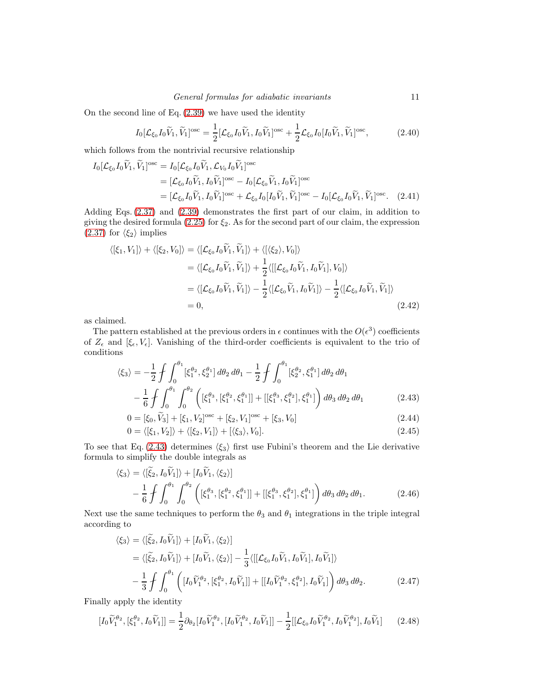On the second line of Eq. [\(2.39\)](#page-9-6) we have used the identity

$$
I_0[\mathcal{L}_{\xi_0}I_0\widetilde{V}_1,\widetilde{V}_1]^{\text{osc}} = \frac{1}{2}[\mathcal{L}_{\xi_0}I_0\widetilde{V}_1,I_0\widetilde{V}_1]^{\text{osc}} + \frac{1}{2}\mathcal{L}_{\xi_0}I_0[I_0\widetilde{V}_1,\widetilde{V}_1]^{\text{osc}},\tag{2.40}
$$

which follows from the nontrivial recursive relationship

$$
I_0[\mathcal{L}_{\xi_0} I_0 \widetilde{V}_1, \widetilde{V}_1]^{\text{osc}} = I_0[\mathcal{L}_{\xi_0} I_0 \widetilde{V}_1, \mathcal{L}_{V_0} I_0 \widetilde{V}_1]^{\text{osc}}
$$
  
\n
$$
= [\mathcal{L}_{\xi_0} I_0 \widetilde{V}_1, I_0 \widetilde{V}_1]^{\text{osc}} - I_0[\mathcal{L}_{\xi_0} \widetilde{V}_1, I_0 \widetilde{V}_1]^{\text{osc}}
$$
  
\n
$$
= [\mathcal{L}_{\xi_0} I_0 \widetilde{V}_1, I_0 \widetilde{V}_1]^{\text{osc}} + \mathcal{L}_{\xi_0} I_0[I_0 \widetilde{V}_1, \widetilde{V}_1]^{\text{osc}} - I_0[\mathcal{L}_{\xi_0} I_0 \widetilde{V}_1, \widetilde{V}_1]^{\text{osc}}.
$$
 (2.41)

Adding Eqs. [\(2.37\)](#page-9-7) and [\(2.39\)](#page-9-6) demonstrates the first part of our claim, in addition to giving the desired formula [\(2.25\)](#page-8-3) for  $\xi_2$ . As for the second part of our claim, the expression [\(2.37\)](#page-9-7) for  $\langle \xi_2 \rangle$  implies

$$
\langle [\xi_1, V_1] \rangle + \langle [\xi_2, V_0] \rangle = \langle [\mathcal{L}_{\xi_0} I_0 \widetilde{V}_1, \widetilde{V}_1] \rangle + \langle [\langle \xi_2 \rangle, V_0] \rangle
$$
  
\n
$$
= \langle [\mathcal{L}_{\xi_0} I_0 \widetilde{V}_1, \widetilde{V}_1] \rangle + \frac{1}{2} \langle [[\mathcal{L}_{\xi_0} I_0 \widetilde{V}_1, I_0 \widetilde{V}_1], V_0] \rangle
$$
  
\n
$$
= \langle [\mathcal{L}_{\xi_0} I_0 \widetilde{V}_1, \widetilde{V}_1] \rangle - \frac{1}{2} \langle [\mathcal{L}_{\xi_0} \widetilde{V}_1, I_0 \widetilde{V}_1] \rangle - \frac{1}{2} \langle [\mathcal{L}_{\xi_0} I_0 \widetilde{V}_1, \widetilde{V}_1] \rangle
$$
  
\n
$$
= 0,
$$
 (2.42)

as claimed.

The pattern established at the previous orders in  $\epsilon$  continues with the  $O(\epsilon^3)$  coefficients of  $Z_{\epsilon}$  and  $[\xi_{\epsilon}, V_{\epsilon}]$ . Vanishing of the third-order coefficients is equivalent to the trio of conditions

$$
\langle \xi_3 \rangle = -\frac{1}{2} \int \int_0^{\theta_1} [\xi_1^{\theta_2}, \xi_2^{\theta_1}] d\theta_2 d\theta_1 - \frac{1}{2} \int \int_0^{\theta_1} [\xi_2^{\theta_2}, \xi_1^{\theta_1}] d\theta_2 d\theta_1
$$
  

$$
- \frac{1}{6} \int \int_0^{\theta_1} \int_0^{\theta_2} \left( [\xi_1^{\theta_3}, [\xi_1^{\theta_2}, \xi_1^{\theta_1}]] + [[\xi_1^{\theta_3}, \xi_1^{\theta_2}], \xi_1^{\theta_1}]\right) d\theta_3 d\theta_2 d\theta_1
$$
(2.43)

$$
0 = [\xi_0, \widetilde{V}_3] + [\xi_1, V_2]^{\text{osc}} + [\xi_2, V_1]^{\text{osc}} + [\xi_3, V_0]
$$
\n(2.44)

$$
0 = \langle [\xi_1, V_2] \rangle + \langle [\xi_2, V_1] \rangle + [\langle \xi_3 \rangle, V_0]. \tag{2.45}
$$

To see that Eq. [\(2.43\)](#page-10-0) determines  $\langle \xi_3 \rangle$  first use Fubini's theorem and the Lie derivative formula to simplify the double integrals as

$$
\langle \xi_3 \rangle = \langle [\xi_2, I_0 \tilde{V}_1] \rangle + [I_0 \tilde{V}_1, \langle \xi_2 \rangle] - \frac{1}{6} \int \int_0^{\theta_1} \int_0^{\theta_2} \left( [\xi_1^{\theta_3}, [\xi_1^{\theta_2}, \xi_1^{\theta_1}]] + [[\xi_1^{\theta_3}, \xi_1^{\theta_2}], \xi_1^{\theta_1}] \right) d\theta_3 d\theta_2 d\theta_1.
$$
 (2.46)

Next use the same techniques to perform the  $\theta_3$  and  $\theta_1$  integrations in the triple integral according to

$$
\langle \xi_3 \rangle = \langle [\tilde{\xi}_2, I_0 \tilde{V}_1] \rangle + [I_0 \tilde{V}_1, \langle \xi_2 \rangle]
$$
  
\n
$$
= \langle [\tilde{\xi}_2, I_0 \tilde{V}_1] \rangle + [I_0 \tilde{V}_1, \langle \xi_2 \rangle] - \frac{1}{3} \langle [[\mathcal{L}_{\xi_0} I_0 \tilde{V}_1, I_0 \tilde{V}_1], I_0 \tilde{V}_1] \rangle
$$
  
\n
$$
- \frac{1}{3} \int \int_0^{\theta_1} \left( [I_0 \tilde{V}_1^{\theta_2}, [\xi_1^{\theta_2}, I_0 \tilde{V}_1]] + [[I_0 \tilde{V}_1^{\theta_2}, \xi_1^{\theta_2}], I_0 \tilde{V}_1] \right) d\theta_3 d\theta_2.
$$
 (2.47)

Finally apply the identity

<span id="page-10-2"></span><span id="page-10-1"></span><span id="page-10-0"></span> $\sim$ 

$$
[I_0\widetilde{V}_1^{\theta_2}, [\xi_1^{\theta_2}, I_0\widetilde{V}_1]] = \frac{1}{2}\partial_{\theta_2}[I_0\widetilde{V}_1^{\theta_2}, [I_0\widetilde{V}_1^{\theta_2}, I_0\widetilde{V}_1]] - \frac{1}{2}[[\mathcal{L}_{\xi_0}I_0\widetilde{V}_1^{\theta_2}, I_0\widetilde{V}_1^{\theta_2}], I_0\widetilde{V}_1] \tag{2.48}
$$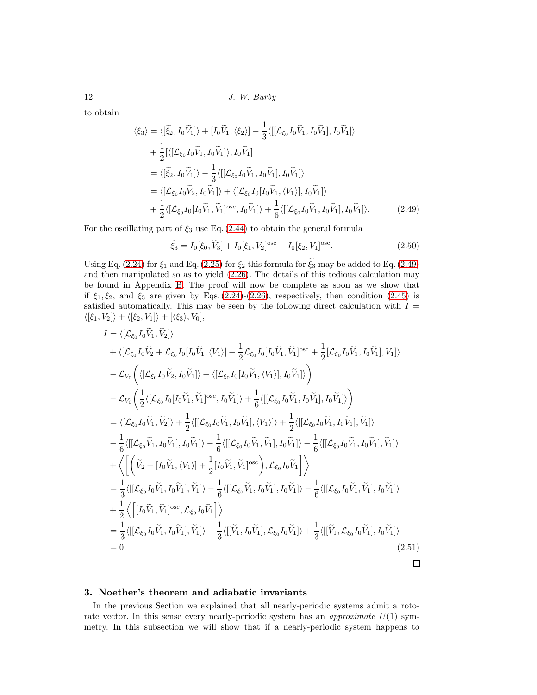to obtain

$$
\langle \xi_3 \rangle = \langle [\tilde{\xi}_2, I_0 \tilde{V}_1] \rangle + [I_0 \tilde{V}_1, \langle \xi_2 \rangle] - \frac{1}{3} \langle [[\mathcal{L}_{\xi_0} I_0 \tilde{V}_1, I_0 \tilde{V}_1], I_0 \tilde{V}_1] \rangle + \frac{1}{2} [\langle [\mathcal{L}_{\xi_0} I_0 \tilde{V}_1, I_0 \tilde{V}_1] \rangle, I_0 \tilde{V}_1] = \langle [\tilde{\xi}_2, I_0 \tilde{V}_1] \rangle - \frac{1}{3} \langle [[\mathcal{L}_{\xi_0} I_0 \tilde{V}_1, I_0 \tilde{V}_1], I_0 \tilde{V}_1] \rangle = \langle [\mathcal{L}_{\xi_0} I_0 \tilde{V}_2, I_0 \tilde{V}_1] \rangle + \langle [\mathcal{L}_{\xi_0} I_0 [I_0 \tilde{V}_1, \langle V_1 \rangle], I_0 \tilde{V}_1] \rangle + \frac{1}{2} \langle [\mathcal{L}_{\xi_0} I_0 [I_0 \tilde{V}_1, \tilde{V}_1] \rangle^{osc}, I_0 \tilde{V}_1] \rangle + \frac{1}{6} \langle [[\mathcal{L}_{\xi_0} I_0 \tilde{V}_1, I_0 \tilde{V}_1], I_0 \tilde{V}_1] \rangle.
$$
 (2.49)

For the oscillating part of  $\xi_3$  use Eq. [\(2.44\)](#page-10-1) to obtain the general formula

<span id="page-11-2"></span><span id="page-11-1"></span>
$$
\widetilde{\xi}_3 = I_0[\xi_0, \widetilde{V}_3] + I_0[\xi_1, V_2]^{\text{osc}} + I_0[\xi_2, V_1]^{\text{osc}}.
$$
\n(2.50)

Using Eq. [\(2.24\)](#page-8-2) for  $\xi_1$  and Eq. [\(2.25\)](#page-8-3) for  $\xi_2$  this formula for  $\tilde{\xi_3}$  may be added to Eq. [\(2.49\)](#page-11-1) and then manipulated so as to yield [\(2.26\)](#page-8-4). The details of this tedious calculation may be found in Appendix [B.](#page-28-0) The proof will now be complete as soon as we show that if  $\xi_1, \xi_2$ , and  $\xi_3$  are given by Eqs. [\(2.24\)](#page-8-2)-[\(2.26\)](#page-8-4), respectively, then condition [\(2.45\)](#page-10-2) is satisfied automatically. This may be seen by the following direct calculation with  $I =$  $\langle [\xi_1, V_2] \rangle + \langle [\xi_2, V_1] \rangle + [\langle \xi_3 \rangle, V_0],$ 

$$
I = \langle [\mathcal{L}_{\xi_{0}} I_{0} \tilde{V}_{1}, \tilde{V}_{2}] \rangle
$$
  
+  $\langle [\mathcal{L}_{\xi_{0}} I_{0} \tilde{V}_{2} + \mathcal{L}_{\xi_{0}} I_{0} [I_{0} \tilde{V}_{1}, \langle V_{1} \rangle] + \frac{1}{2} \mathcal{L}_{\xi_{0}} I_{0} [I_{0} \tilde{V}_{1}, \tilde{V}_{1}]^{\text{osc}} + \frac{1}{2} [\mathcal{L}_{\xi_{0}} I_{0} \tilde{V}_{1}, I_{0} \tilde{V}_{1}], V_{1}] \rangle$   
-  $\mathcal{L}_{V_{0}} \Big( \langle [\mathcal{L}_{\xi_{0}} I_{0} \tilde{V}_{2}, I_{0} \tilde{V}_{1}] \rangle + \langle [\mathcal{L}_{\xi_{0}} I_{0} [I_{0} \tilde{V}_{1}, \langle V_{1} \rangle], I_{0} \tilde{V}_{1}] \rangle \Big)$   
-  $\mathcal{L}_{V_{0}} \Big( \frac{1}{2} \langle [\mathcal{L}_{\xi_{0}} I_{0} [I_{0} \tilde{V}_{1}, \tilde{V}_{1}]^{\text{osc}}, I_{0} \tilde{V}_{1}] \rangle + \frac{1}{6} \langle [[\mathcal{L}_{\xi_{0}} I_{0} \tilde{V}_{1}, I_{0} \tilde{V}_{1}], I_{0} \tilde{V}_{1}] \rangle \Big)$   
=  $\langle [\mathcal{L}_{\xi_{0}} I_{0} \tilde{V}_{1}, \tilde{V}_{2}] \rangle + \frac{1}{2} \langle [[\mathcal{L}_{\xi_{0}} I_{0} \tilde{V}_{1}, I_{0} \tilde{V}_{1}], \langle V_{1} \rangle] \rangle + \frac{1}{2} \langle [[\mathcal{L}_{\xi_{0}} I_{0} \tilde{V}_{1}, I_{0} \tilde{V}_{1}], \tilde{V}_{1}] \rangle$   
-  $\frac{1}{6} \langle [[\mathcal{L}_{\xi_{0}} \tilde{V}_{1}, I_{0} \tilde{V}_{1}], I_{0} \tilde{V}_{1}] \rangle - \frac{1}{6} \langle [[\mathcal{L}_{\xi_{0}} I_{0} \tilde{V}_{1}, \tilde{V}_{1}], I_{0} \tilde{V}_{1}] \rangle - \frac{1}{6} \langle [[\mathcal{L}_{\$ 

## <span id="page-11-0"></span>3. Noether's theorem and adiabatic invariants

In the previous Section we explained that all nearly-periodic systems admit a rotorate vector. In this sense every nearly-periodic system has an approximate  $U(1)$  symmetry. In this subsection we will show that if a nearly-periodic system happens to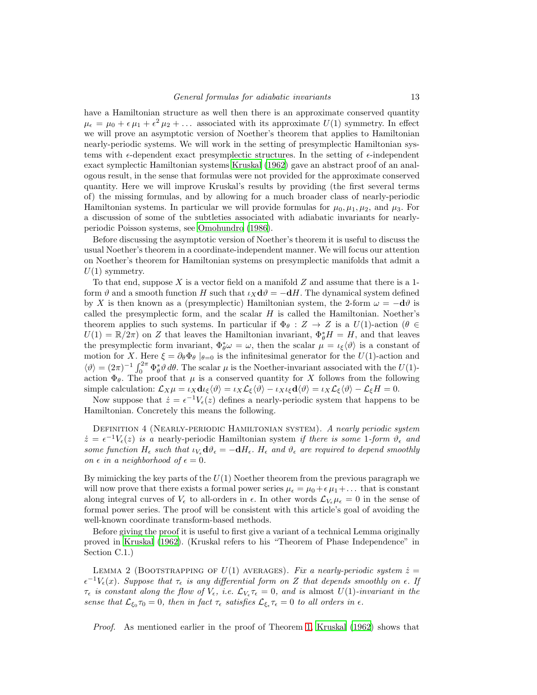have a Hamiltonian structure as well then there is an approximate conserved quantity  $\mu_{\epsilon} = \mu_0 + \epsilon \mu_1 + \epsilon^2 \mu_2 + \dots$  associated with its approximate  $U(1)$  symmetry. In effect we will prove an asymptotic version of Noether's theorem that applies to Hamiltonian nearly-periodic systems. We will work in the setting of presymplectic Hamiltonian systems with  $\epsilon$ -dependent exact presymplectic structures. In the setting of  $\epsilon$ -independent exact symplectic Hamiltonian systems [Kruskal \(1962](#page-31-1)) gave an abstract proof of an analogous result, in the sense that formulas were not provided for the approximate conserved quantity. Here we will improve Kruskal's results by providing (the first several terms of) the missing formulas, and by allowing for a much broader class of nearly-periodic Hamiltonian systems. In particular we will provide formulas for  $\mu_0, \mu_1, \mu_2$ , and  $\mu_3$ . For a discussion of some of the subtleties associated with adiabatic invariants for nearlyperiodic Poisson systems, see [Omohundro \(1986\)](#page-31-6).

Before discussing the asymptotic version of Noether's theorem it is useful to discuss the usual Noether's theorem in a coordinate-independent manner. We will focus our attention on Noether's theorem for Hamiltonian systems on presymplectic manifolds that admit a  $U(1)$  symmetry.

To that end, suppose X is a vector field on a manifold Z and assume that there is a 1form  $\vartheta$  and a smooth function H such that  $\iota_X d\vartheta = -dH$ . The dynamical system defined by X is then known as a (presymplectic) Hamiltonian system, the 2-form  $\omega = -d\theta$  is called the presymplectic form, and the scalar  $H$  is called the Hamiltonian. Noether's theorem applies to such systems. In particular if  $\Phi_{\theta}: Z \to Z$  is a  $U(1)$ -action  $(\theta \in$  $U(1) = \mathbb{R}/2\pi$ ) on Z that leaves the Hamiltonian invariant,  $\Phi_{\theta}^* H = H$ , and that leaves the presymplectic form invariant,  $\Phi_{\theta}^* \omega = \omega$ , then the scalar  $\mu = \iota_{\xi} \langle \vartheta \rangle$  is a constant of motion for X. Here  $\xi = \partial_{\theta} \Phi_{\theta} |_{\theta=0}$  is the infinitesimal generator for the  $U(1)$ -action and  $\langle \vartheta \rangle = (2\pi)^{-1} \int_0^{2\pi} \Phi_{\theta}^* \vartheta \, d\theta$ . The scalar  $\mu$  is the Noether-invariant associated with the  $U(1)$ action  $\Phi_{\theta}$ . The proof that  $\mu$  is a conserved quantity for X follows from the following simple calculation:  $\mathcal{L}_X \mu = \iota_X \mathbf{d} \iota_{\xi} \langle \vartheta \rangle = \iota_X \mathcal{L}_{\xi} \langle \vartheta \rangle - \iota_X \iota_{\xi} \mathbf{d} \langle \vartheta \rangle = \iota_X \mathcal{L}_{\xi} \langle \vartheta \rangle - \mathcal{L}_{\xi} H = 0.$ 

Now suppose that  $\dot{z} = \epsilon^{-1} V_{\epsilon}(z)$  defines a nearly-periodic system that happens to be Hamiltonian. Concretely this means the following.

DEFINITION 4 (NEARLY-PERIODIC HAMILTONIAN SYSTEM). A nearly periodic system  $\dot{z} = \epsilon^{-1} V_{\epsilon}(z)$  is a nearly-periodic Hamiltonian system if there is some 1-form  $\vartheta_{\epsilon}$  and some function  $H_{\epsilon}$  such that  $\iota_{V_{\epsilon}} d\vartheta_{\epsilon} = -dH_{\epsilon}$ .  $H_{\epsilon}$  and  $\vartheta_{\epsilon}$  are required to depend smoothly on  $\epsilon$  in a neighborhood of  $\epsilon = 0$ .

By mimicking the key parts of the  $U(1)$  Noether theorem from the previous paragraph we will now prove that there exists a formal power series  $\mu_{\epsilon} = \mu_0 + \epsilon \mu_1 + ...$  that is constant along integral curves of  $V_{\epsilon}$  to all-orders in  $\epsilon$ . In other words  $\mathcal{L}_{V_{\epsilon}}\mu_{\epsilon}=0$  in the sense of formal power series. The proof will be consistent with this article's goal of avoiding the well-known coordinate transform-based methods.

Before giving the proof it is useful to first give a variant of a technical Lemma originally proved in [Kruskal \(1962\)](#page-31-1). (Kruskal refers to his "Theorem of Phase Independence" in Section C.1.)

<span id="page-12-0"></span>LEMMA 2 (BOOTSTRAPPING OF  $U(1)$  AVERAGES). Fix a nearly-periodic system  $\dot{z} =$  $\epsilon^{-1}V_{\epsilon}(x)$ . Suppose that  $\tau_{\epsilon}$  is any differential form on Z that depends smoothly on  $\epsilon$ . If  $\tau_{\epsilon}$  is constant along the flow of  $V_{\epsilon}$ , i.e.  $\mathcal{L}_{V_{\epsilon}}\tau_{\epsilon}=0$ , and is almost  $U(1)$ -invariant in the sense that  $\mathcal{L}_{\xi_0} \tau_0 = 0$ , then in fact  $\tau_{\epsilon}$  satisfies  $\mathcal{L}_{\xi_{\epsilon}} \tau_{\epsilon} = 0$  to all orders in  $\epsilon$ .

Proof. As mentioned earlier in the proof of Theorem [1,](#page-3-1) [Kruskal \(1962\)](#page-31-1) shows that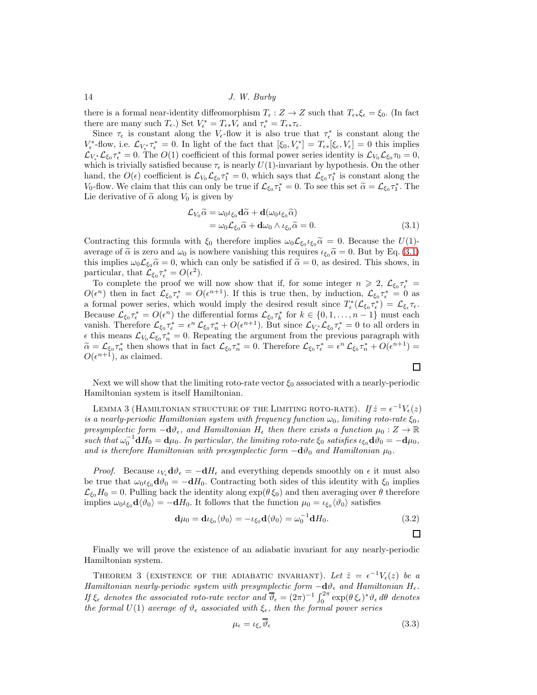there is a formal near-identity diffeomorphism  $T_{\epsilon}: Z \to Z$  such that  $T_{\epsilon*}\xi_{\epsilon} = \xi_0$ . (In fact there are many such  $T_{\epsilon}$ .) Set  $V_{\epsilon}^* = T_{\epsilon *} V_{\epsilon}$  and  $\tau_{\epsilon}^* = T_{\epsilon *} \tau_{\epsilon}$ .

Since  $\tau_{\epsilon}$  is constant along the  $V_{\epsilon}$ -flow it is also true that  $\tau_{\epsilon}^{*}$  is constant along the  $V_{\epsilon}^*$ -flow, i.e.  $\mathcal{L}_{V_{\epsilon}^*}\tau_{\epsilon}^* = 0$ . In light of the fact that  $[\xi_0, V_{\epsilon}^*] = T_{\epsilon*}[\xi_{\epsilon}, V_{\epsilon}] = 0$  this implies  $\mathcal{L}_{V_{\epsilon}}\mathcal{L}_{\xi_0}\tau_{\epsilon}^* = 0$ . The  $O(1)$  coefficient of this formal power series identity is  $\mathcal{L}_{V_0}\mathcal{L}_{\xi_0}\tau_0 = 0$ , which is trivially satisfied because  $\tau_{\epsilon}$  is nearly  $U(1)$ -invariant by hypothesis. On the other hand, the  $O(\epsilon)$  coefficient is  $\mathcal{L}_{V_0}\mathcal{L}_{\xi_0}\tau_1^* = 0$ , which says that  $\mathcal{L}_{\xi_0}\tau_1^*$  is constant along the  $V_0$ -flow. We claim that this can only be true if  $\mathcal{L}_{\xi_0} \tau_1^* = 0$ . To see this set  $\tilde{\alpha} = \mathcal{L}_{\xi_0} \tau_1^*$ . The Lie derivative of  $\tilde{\alpha}$  along  $V_0$  is given by

$$
\mathcal{L}_{V_0}\widetilde{\alpha} = \omega_0 \iota_{\xi_0} \mathbf{d}\widetilde{\alpha} + \mathbf{d}(\omega_0 \iota_{\xi_0}\widetilde{\alpha}) \n= \omega_0 \mathcal{L}_{\xi_0}\widetilde{\alpha} + \mathbf{d}\omega_0 \wedge \iota_{\xi_0}\widetilde{\alpha} = 0.
$$
\n(3.1)

Contracting this formula with  $\xi_0$  therefore implies  $\omega_0 \mathcal{L}_{\xi_0} \iota_{\xi_0} \tilde{\alpha} = 0$ . Because the  $U(1)$ average of  $\tilde{\alpha}$  is zero and  $\omega_0$  is nowhere vanishing this requires  $\iota_{\xi_0} \tilde{\alpha} = 0$ . But by Eq. [\(3.1\)](#page-13-0) this implies  $\omega_0 \mathcal{L}_{\xi_0} \tilde{\alpha} = 0$ , which can only be satisfied if  $\tilde{\alpha} = 0$ , as desired. This shows, in particular, that  $\mathcal{L}_{\xi_0} \tau_{\epsilon}^* = O(\epsilon^2)$ .

To complete the proof we will now show that if, for some integer  $n \geq 2$ ,  $\mathcal{L}_{\xi_0} \tau_{\epsilon}^* =$  $O(\epsilon^n)$  then in fact  $\mathcal{L}_{\xi_0} \tau_{\epsilon}^* = O(\epsilon^{n+1})$ . If this is true then, by induction,  $\mathcal{L}_{\xi_0} \tau_{\epsilon}^* = 0$  as a formal power series, which would imply the desired result since  $T_{\epsilon}^*(\mathcal{L}_{\xi_0} \tau_{\epsilon}^*) = \mathcal{L}_{\xi_{\epsilon}} \tau_{\epsilon}$ . Because  $\mathcal{L}_{\xi_0}\tau_{\epsilon}^* = O(\epsilon^n)$  the differential forms  $\mathcal{L}_{\xi_0}\tau_k^*$  for  $k \in \{0, 1, ..., n-1\}$  must each vanish. Therefore  $\mathcal{L}_{\xi_0} \tau_{\epsilon}^* = \epsilon^n \mathcal{L}_{\xi_0} \tau_n^* + O(\epsilon^{n+1})$ . But since  $\mathcal{L}_{V_{\epsilon}^*} \mathcal{L}_{\xi_0} \tau_{\epsilon}^* = 0$  to all orders in  $\epsilon$  this means  $\mathcal{L}_{V_0}\mathcal{L}_{\xi_0}\tau_n^* = 0$ . Repeating the argument from the previous paragraph with  $\tilde{\alpha} = \mathcal{L}_{\xi_0} \tau_n^*$  then shows that in fact  $\mathcal{L}_{\xi_0} \tau_n^* = 0$ . Therefore  $\mathcal{L}_{\xi_0} \tau_{\epsilon}^* = \epsilon^n \mathcal{L}_{\xi_0} \tau_n^* + O(\epsilon^{n+1}) = O(n+1)$  $O(\epsilon^{n+1})$ , as claimed.

<span id="page-13-1"></span>Next we will show that the limiting roto-rate vector  $\xi_0$  associated with a nearly-periodic Hamiltonian system is itself Hamiltonian.

LEMMA 3 (HAMILTONIAN STRUCTURE OF THE LIMITING ROTO-RATE). If  $\dot{z} = \epsilon^{-1} V_{\epsilon}(z)$ is a nearly-periodic Hamiltonian system with frequency function  $\omega_0$ , limiting roto-rate  $\xi_0$ , presymplectic form  $-\mathbf{d}\vartheta_{\epsilon}$ , and Hamiltonian  $H_{\epsilon}$  then there exists a function  $\mu_0: Z \to \mathbb{R}$ such that  $\omega_0^{-1} dH_0 = d\mu_0$ . In particular, the limiting roto-rate  $\xi_0$  satisfies  $\iota_{\xi_0} d\vartheta_0 = -d\mu_0$ , and is therefore Hamiltonian with presymplectic form  $-\mathbf{d}\vartheta_0$  and Hamiltonian  $\mu_0$ .

*Proof.* Because  $\iota_V \, \mathrm{d}\vartheta_\epsilon = -\mathrm{d}H_\epsilon$  and everything depends smoothly on  $\epsilon$  it must also be true that  $\omega_0 \iota_{\xi_0} d\vartheta_0 = -dH_0$ . Contracting both sides of this identity with  $\xi_0$  implies  $\mathcal{L}_{\xi_0}H_0 = 0$ . Pulling back the identity along  $\exp(\theta \xi_0)$  and then averaging over  $\theta$  therefore implies  $\omega_0 \iota_{\xi_0} d \langle \vartheta_0 \rangle = -dH_0$ . It follows that the function  $\mu_0 = \iota_{\xi_0} \langle \vartheta_0 \rangle$  satisfies

$$
\mathbf{d}\mu_0 = \mathbf{d}\iota_{\xi_0} \langle \vartheta_0 \rangle = -\iota_{\xi_0} \mathbf{d} \langle \vartheta_0 \rangle = \omega_0^{-1} \mathbf{d} H_0.
$$
 (3.2)

<span id="page-13-2"></span>Finally we will prove the existence of an adiabatic invariant for any nearly-periodic Hamiltonian system.

THEOREM 3 (EXISTENCE OF THE ADIABATIC INVARIANT). Let  $\dot{z} = \epsilon^{-1} V_{\epsilon}(z)$  be a Hamiltonian nearly-periodic system with presymplectic form  $-\mathbf{d}\theta_{\epsilon}$  and Hamiltonian  $H_{\epsilon}$ . If  $\xi_{\epsilon}$  denotes the associated roto-rate vector and  $\overline{\vartheta}_{\epsilon} = (2\pi)^{-1} \int_0^{2\pi} \exp(\theta \, \xi_{\epsilon})^* \vartheta_{\epsilon} d\theta$  denotes the formal  $U(1)$  average of  $\vartheta_{\epsilon}$  associated with  $\xi_{\epsilon}$ , then the formal power series

$$
\mu_{\epsilon} = \iota_{\xi_{\epsilon}} \overline{\vartheta}_{\epsilon} \tag{3.3}
$$

<span id="page-13-0"></span> $\Box$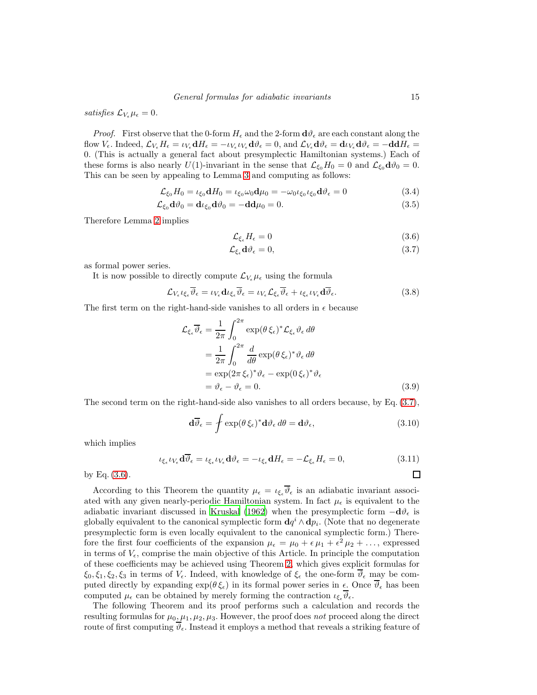satisfies  $\mathcal{L}_{V_{\epsilon}}\mu_{\epsilon}=0$ .

*Proof.* First observe that the 0-form  $H_{\epsilon}$  and the 2-form  $\mathbf{d}\theta_{\epsilon}$  are each constant along the  ${\rm flow}~V_\epsilon.~{\rm Indeed},~{\cal L}_{V_\epsilon}H_\epsilon=\iota_{V_\epsilon}{\bf d}H_\epsilon=-\iota_{V_\epsilon}\iota_{V_\epsilon}{\bf d}\vartheta_\epsilon=0,~{\rm and}~{\cal L}_{V_\epsilon}{\bf d}\vartheta_\epsilon={\bf d}\iota_{V_\epsilon}{\bf d}\vartheta_\epsilon=-{\bf d}{\bf d}H_\epsilon=0$ 0. (This is actually a general fact about presymplectic Hamiltonian systems.) Each of these forms is also nearly  $U(1)$ -invariant in the sense that  $\mathcal{L}_{\xi_0}H_0 = 0$  and  $\mathcal{L}_{\xi_0} d\vartheta_0 = 0$ . This can be seen by appealing to Lemma [3](#page-13-1) and computing as follows:

$$
\mathcal{L}_{\xi_0} H_0 = \iota_{\xi_0} \mathbf{d} H_0 = \iota_{\xi_0} \omega_0 \mathbf{d} \mu_0 = -\omega_0 \iota_{\xi_0} \iota_{\xi_0} \mathbf{d} \vartheta_{\epsilon} = 0
$$
\n(3.4)

$$
\mathcal{L}_{\xi_0} \mathbf{d} \vartheta_0 = \mathbf{d} \iota_{\xi_0} \mathbf{d} \vartheta_0 = -\mathbf{d} \mathbf{d} \mu_0 = 0. \tag{3.5}
$$

Therefore Lemma [2](#page-12-0) implies

<span id="page-14-1"></span><span id="page-14-0"></span>
$$
\mathcal{L}_{\xi_{\epsilon}} H_{\epsilon} = 0 \tag{3.6}
$$

$$
\mathcal{L}_{\xi_{\epsilon}}\mathbf{d}\vartheta_{\epsilon} = 0,\tag{3.7}
$$

as formal power series.

It is now possible to directly compute  $\mathcal{L}_{V_{\epsilon}}\mu_{\epsilon}$  using the formula

$$
\mathcal{L}_{V_{\epsilon}} \iota_{\xi_{\epsilon}} \overline{\vartheta}_{\epsilon} = \iota_{V_{\epsilon}} \mathbf{d} \iota_{\xi_{\epsilon}} \overline{\vartheta}_{\epsilon} = \iota_{V_{\epsilon}} \mathcal{L}_{\xi_{\epsilon}} \overline{\vartheta}_{\epsilon} + \iota_{\xi_{\epsilon}} \iota_{V_{\epsilon}} \mathbf{d} \overline{\vartheta}_{\epsilon}.
$$
 (3.8)

The first term on the right-hand-side vanishes to all orders in  $\epsilon$  because

$$
\mathcal{L}_{\xi_{\epsilon}} \overline{\vartheta}_{\epsilon} = \frac{1}{2\pi} \int_0^{2\pi} \exp(\theta \, \xi_{\epsilon})^* \mathcal{L}_{\xi_{\epsilon}} \vartheta_{\epsilon} d\theta
$$
\n
$$
= \frac{1}{2\pi} \int_0^{2\pi} \frac{d}{d\theta} \exp(\theta \, \xi_{\epsilon})^* \vartheta_{\epsilon} d\theta
$$
\n
$$
= \exp(2\pi \, \xi_{\epsilon})^* \vartheta_{\epsilon} - \exp(0 \, \xi_{\epsilon})^* \vartheta_{\epsilon}
$$
\n
$$
= \vartheta_{\epsilon} - \vartheta_{\epsilon} = 0. \tag{3.9}
$$

The second term on the right-hand-side also vanishes to all orders because, by Eq. [\(3.7\)](#page-14-0),

$$
\mathbf{d}\overline{\vartheta}_{\epsilon} = \int \exp(\theta \,\xi_{\epsilon})^* \mathbf{d}\vartheta_{\epsilon} \, d\theta = \mathbf{d}\vartheta_{\epsilon},\tag{3.10}
$$

which implies

$$
\iota_{\xi_{\epsilon}} \iota_{V_{\epsilon}} d\overline{\vartheta}_{\epsilon} = \iota_{\xi_{\epsilon}} \iota_{V_{\epsilon}} d\vartheta_{\epsilon} = -\iota_{\xi_{\epsilon}} dH_{\epsilon} = -\mathcal{L}_{\xi_{\epsilon}} H_{\epsilon} = 0, \tag{3.11}
$$

by Eq. [\(3.6\)](#page-14-1).

According to this Theorem the quantity  $\mu_{\epsilon} = \iota_{\xi_{\epsilon}} \overline{\vartheta}_{\epsilon}$  is an adiabatic invariant associated with any given nearly-periodic Hamiltonian system. In fact  $\mu_{\epsilon}$  is equivalent to the adiabatic invariant discussed in [Kruskal \(1962\)](#page-31-1) when the presymplectic form  $-\mathbf{d}\theta_{\epsilon}$  is globally equivalent to the canonical symplectic form  $\mathbf{d}q^i \wedge \mathbf{d}p_i$ . (Note that no degenerate presymplectic form is even locally equivalent to the canonical symplectic form.) Therefore the first four coefficients of the expansion  $\mu_{\epsilon} = \mu_0 + \epsilon \mu_1 + \epsilon^2 \mu_2 + \dots$ , expressed in terms of  $V_{\epsilon}$ , comprise the main objective of this Article. In principle the computation of these coefficients may be achieved using Theorem [2,](#page-7-0) which gives explicit formulas for  $\xi_0, \xi_1, \xi_2, \xi_3$  in terms of  $V_\epsilon$ . Indeed, with knowledge of  $\xi_\epsilon$  the one-form  $\overline{\vartheta}_\epsilon$  may be computed directly by expanding  $\exp(\theta \xi_{\epsilon})$  in its formal power series in  $\epsilon$ . Once  $\overline{\vartheta}_{\epsilon}$  has been computed  $\mu_{\epsilon}$  can be obtained by merely forming the contraction  $\iota_{\xi_{\epsilon}} \overline{\vartheta}_{\epsilon}$ .

The following Theorem and its proof performs such a calculation and records the resulting formulas for  $\mu_0, \mu_1, \mu_2, \mu_3$ . However, the proof does not proceed along the direct route of first computing  $\vartheta_{\epsilon}$ . Instead it employs a method that reveals a striking feature of

<span id="page-14-3"></span><span id="page-14-2"></span> $\Box$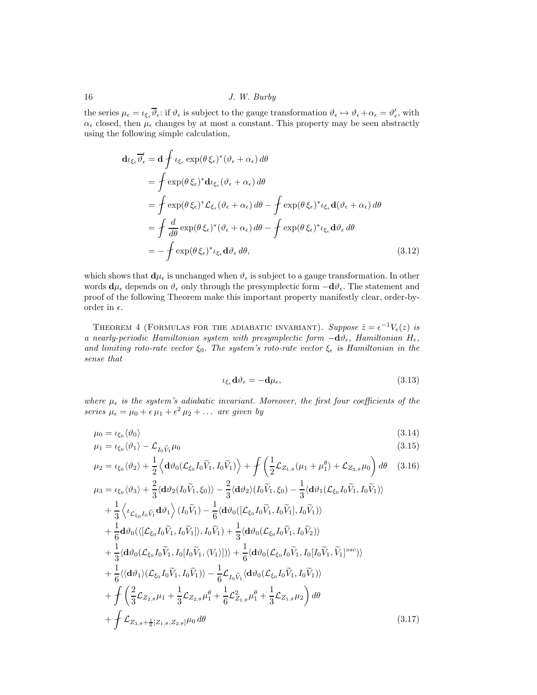the series  $\mu_{\epsilon} = \iota_{\xi_{\epsilon}} \overline{\vartheta}_{\epsilon}$ : if  $\vartheta_{\epsilon}$  is subject to the gauge transformation  $\vartheta_{\epsilon} \mapsto \vartheta_{\epsilon} + \alpha_{\epsilon} = \vartheta'_{\epsilon}$ , with  $\alpha_{\epsilon}$  closed, then  $\mu_{\epsilon}$  changes by at most a constant. This property may be seen abstractly using the following simple calculation,

$$
\mathbf{d}\iota_{\xi_{\epsilon}}\overline{\vartheta}_{\epsilon}' = \mathbf{d} \int \iota_{\xi_{\epsilon}} \exp(\theta \xi_{\epsilon})^* (\vartheta_{\epsilon} + \alpha_{\epsilon}) d\theta
$$
\n
$$
= \int \exp(\theta \xi_{\epsilon})^* \mathbf{d}\iota_{\xi_{\epsilon}} (\vartheta_{\epsilon} + \alpha_{\epsilon}) d\theta
$$
\n
$$
= \int \exp(\theta \xi_{\epsilon})^* \mathcal{L}_{\xi_{\epsilon}} (\vartheta_{\epsilon} + \alpha_{\epsilon}) d\theta - \int \exp(\theta \xi_{\epsilon})^* \iota_{\xi_{\epsilon}} \mathbf{d}(\vartheta_{\epsilon} + \alpha_{\epsilon}) d\theta
$$
\n
$$
= \int \frac{d}{d\theta} \exp(\theta \xi_{\epsilon})^* (\vartheta_{\epsilon} + \alpha_{\epsilon}) d\theta - \int \exp(\theta \xi_{\epsilon})^* \iota_{\xi_{\epsilon}} d\vartheta_{\epsilon} d\theta
$$
\n
$$
= - \int \exp(\theta \xi_{\epsilon})^* \iota_{\xi_{\epsilon}} d\vartheta_{\epsilon} d\theta, \qquad (3.12)
$$

which shows that  $\mathbf{d}\mu_{\epsilon}$  is unchanged when  $\vartheta_{\epsilon}$  is subject to a gauge transformation. In other words  $\mathbf{d}\mu_{\epsilon}$  depends on  $\vartheta_{\epsilon}$  only through the presymplectic form  $-\mathbf{d}\vartheta_{\epsilon}$ . The statement and proof of the following Theorem make this important property manifestly clear, order-byorder in  $\epsilon$ .

<span id="page-15-0"></span>THEOREM 4 (FORMULAS FOR THE ADIABATIC INVARIANT). Suppose  $\dot{z} = \epsilon^{-1} V_{\epsilon}(z)$  is a nearly-periodic Hamiltonian system with presymplectic form  $-\mathbf{d}\vartheta_{\epsilon}$ , Hamiltonian  $H_{\epsilon}$ , and limiting roto-rate vector  $\xi_0$ . The system's roto-rate vector  $\xi_{\epsilon}$  is Hamiltonian in the sense that

<span id="page-15-6"></span><span id="page-15-5"></span><span id="page-15-4"></span><span id="page-15-3"></span><span id="page-15-2"></span><span id="page-15-1"></span>
$$
\iota_{\xi_{\epsilon}} \mathbf{d} \vartheta_{\epsilon} = -\mathbf{d} \mu_{\epsilon},\tag{3.13}
$$

where  $\mu_{\epsilon}$  is the system's adiabatic invariant. Moreover, the first four coefficients of the series  $\mu_{\epsilon} = \mu_0 + \epsilon \mu_1 + \epsilon^2 \mu_2 + \ldots$  are given by

$$
\mu_0 = \iota_{\xi_0} \langle \vartheta_0 \rangle \tag{3.14}
$$

$$
\mu_1 = \iota_{\xi_0} \langle \vartheta_1 \rangle - \mathcal{L}_{I_0 \widetilde{V}_1} \mu_0 \tag{3.15}
$$

$$
\mu_2 = \iota_{\xi_0} \langle \vartheta_2 \rangle + \frac{1}{2} \left\langle \mathbf{d} \vartheta_0 (\mathcal{L}_{\xi_0} I_0 \widetilde{V}_1, I_0 \widetilde{V}_1) \right\rangle + \int \left( \frac{1}{2} \mathcal{L}_{Z_{1,\theta}} (\mu_1 + \mu_1^{\theta}) + \mathcal{L}_{Z_{2,\theta}} \mu_0 \right) d\theta \quad (3.16)
$$

$$
\mu_3 = \iota_{\xi_0} \langle \vartheta_3 \rangle + \frac{2}{3} \langle d\vartheta_2 (I_0 \widetilde{V}_1, \xi_0) \rangle - \frac{2}{3} \langle d\vartheta_2 \rangle (I_0 \widetilde{V}_1, \xi_0) - \frac{1}{3} \langle d\vartheta_1 (\mathcal{L}_{\xi_0} I_0 \widetilde{V}_1, I_0 \widetilde{V}_1) \rangle \n+ \frac{1}{3} \langle \iota_{\mathcal{L}_{\xi_0} I_0 \widetilde{V}_1} d\vartheta_1 \rangle (I_0 \widetilde{V}_1) - \frac{1}{6} \langle d\vartheta_0 ([\mathcal{L}_{\xi_0} I_0 \widetilde{V}_1, I_0 \widetilde{V}_1], I_0 \widetilde{V}_1) \rangle \n+ \frac{1}{6} d\vartheta_0 (\langle [\mathcal{L}_{\xi_0} I_0 \widetilde{V}_1, I_0 \widetilde{V}_1] \rangle, I_0 \widetilde{V}_1) + \frac{1}{3} \langle d\vartheta_0 (\mathcal{L}_{\xi_0} I_0 \widetilde{V}_1, I_0 \widetilde{V}_2) \rangle \n+ \frac{1}{3} \langle d\vartheta_0 (\mathcal{L}_{\xi_0} I_0 \widetilde{V}_1, I_0 [I_0 \widetilde{V}_1, \langle V_1 \rangle]) \rangle + \frac{1}{6} \langle d\vartheta_0 (\mathcal{L}_{\xi_0} I_0 \widetilde{V}_1, I_0 [I_0 \widetilde{V}_1, \widetilde{V}_1]^{osc}) \rangle \n+ \frac{1}{6} \langle \langle d\vartheta_1 \rangle (\mathcal{L}_{\xi_0} I_0 \widetilde{V}_1, I_0 \widetilde{V}_1) \rangle - \frac{1}{6} \mathcal{L}_{I_0} \widetilde{V}_1 \langle d\vartheta_0 (\mathcal{L}_{\xi_0} I_0 \widetilde{V}_1, I_0 \widetilde{V}_1) \rangle \n+ \int \left( \frac{2}{3} \mathcal{L}_{Z_2, \theta} \mu_1 + \frac{1}{3} \mathcal{L}_{Z_2, \theta} \mu_1^{\theta} + \frac{1}{6} \mathcal{L}_{Z_1, \theta}^2 \mu_1^
$$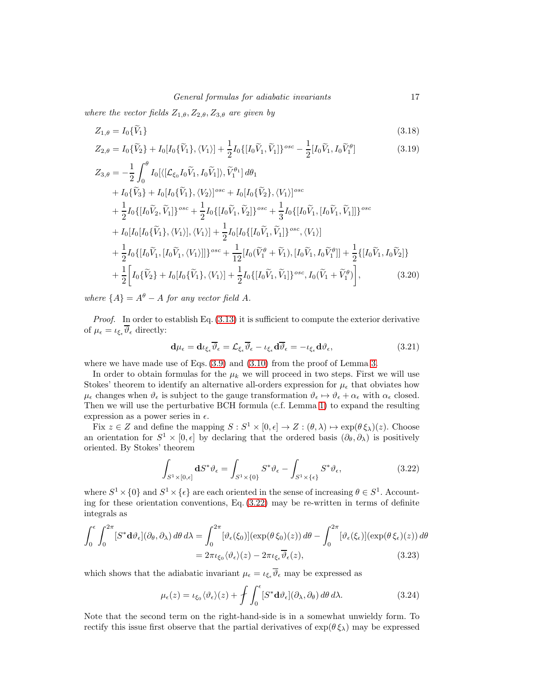where the vector fields  $Z_{1,\theta}, Z_{2,\theta}, Z_{3,\theta}$  are given by

<span id="page-16-2"></span>
$$
Z_{1,\theta} = I_0 \{V_1\} \tag{3.18}
$$

$$
Z_{2,\theta} = I_0\{\widetilde{V}_2\} + I_0[I_0\{\widetilde{V}_1\}, \langle V_1 \rangle] + \frac{1}{2}I_0\{[I_0\widetilde{V}_1, \widetilde{V}_1]\}^{osc} - \frac{1}{2}[I_0\widetilde{V}_1, I_0\widetilde{V}_1^{\theta}]
$$
(3.19)

$$
Z_{3,\theta} = -\frac{1}{2} \int_0^{\theta} I_0[\langle [\mathcal{L}_{\xi_0} I_0 \tilde{V}_1, I_0 \tilde{V}_1] \rangle, \tilde{V}_1^{\theta_1}] d\theta_1 + I_0\{\tilde{V}_3\} + I_0[I_0\{\tilde{V}_1\}, \langle V_2 \rangle]^{osc} + I_0[I_0\{\tilde{V}_2\}, \langle V_1 \rangle]^{osc} + \frac{1}{2} I_0\{[I_0 \tilde{V}_2, \tilde{V}_1]\}^{osc} + \frac{1}{2} I_0\{[I_0 \tilde{V}_1, \tilde{V}_2]\}^{osc} + \frac{1}{3} I_0\{[I_0 \tilde{V}_1, [I_0 \tilde{V}_1, \tilde{V}_1]]\}^{osc} + I_0[I_0\{\tilde{V}_1\}, \langle V_1 \rangle], \langle V_1 \rangle] + \frac{1}{2} I_0[I_0\{[I_0 \tilde{V}_1, \tilde{V}_1]\}^{osc}, \langle V_1 \rangle] + \frac{1}{2} I_0\{[I_0 \tilde{V}_1, [I_0 \tilde{V}_1, \langle V_1 \rangle]]\}^{osc} + \frac{1}{12}[I_0(\tilde{V}_1^{\theta} + \tilde{V}_1), [I_0 \tilde{V}_1, I_0 \tilde{V}_1^{\theta}]] + \frac{1}{2}\{[I_0 \tilde{V}_1, I_0 \tilde{V}_2]\} + \frac{1}{2}\left[I_0\{\tilde{V}_2\} + I_0[I_0\{\tilde{V}_1\}, \langle V_1 \rangle] + \frac{1}{2} I_0\{[I_0 \tilde{V}_1, \tilde{V}_1]\}^{osc}, I_0(\tilde{V}_1 + \tilde{V}_1^{\theta})\right],
$$
(3.20)

where  ${A} = A^{\theta} - A$  for any vector field A.

Proof. In order to establish Eq. [\(3.13\)](#page-15-3) it is sufficient to compute the exterior derivative of  $\mu_{\epsilon} = \iota_{\xi_{\epsilon}} \overline{\vartheta}_{\epsilon}$  directly:

<span id="page-16-3"></span><span id="page-16-1"></span>
$$
\mathbf{d}\mu_{\epsilon} = \mathbf{d}\iota_{\xi_{\epsilon}}\overline{\vartheta}_{\epsilon} = \mathcal{L}_{\xi_{\epsilon}}\overline{\vartheta}_{\epsilon} - \iota_{\xi_{\epsilon}}\mathbf{d}\overline{\vartheta}_{\epsilon} = -\iota_{\xi_{\epsilon}}\mathbf{d}\vartheta_{\epsilon},\tag{3.21}
$$

where we have made use of Eqs.  $(3.9)$  and  $(3.10)$  from the proof of Lemma [3.](#page-13-2)

In order to obtain formulas for the  $\mu_k$  we will proceed in two steps. First we will use Stokes' theorem to identify an alternative all-orders expression for  $\mu_{\epsilon}$  that obviates how  $\mu_{\epsilon}$  changes when  $\vartheta_{\epsilon}$  is subject to the gauge transformation  $\vartheta_{\epsilon} \mapsto \vartheta_{\epsilon} + \alpha_{\epsilon}$  with  $\alpha_{\epsilon}$  closed. Then we will use the perturbative BCH formula (c.f. Lemma [1\)](#page-4-6) to expand the resulting expression as a power series in  $\epsilon$ .

Fix  $z \in Z$  and define the mapping  $S : S^1 \times [0, \epsilon] \to Z : (\theta, \lambda) \mapsto \exp(\theta \xi_\lambda)(z)$ . Choose an orientation for  $S^1 \times [0, \epsilon]$  by declaring that the ordered basis  $(\partial_{\theta}, \partial_{\lambda})$  is positively oriented. By Stokes' theorem

<span id="page-16-0"></span>
$$
\int_{S^1 \times [0,\epsilon]} \mathbf{d} S^* \vartheta_\epsilon = \int_{S^1 \times \{0\}} S^* \vartheta_\epsilon - \int_{S^1 \times \{\epsilon\}} S^* \vartheta_\epsilon,\tag{3.22}
$$

where  $S^1 \times \{0\}$  and  $S^1 \times \{\epsilon\}$  are each oriented in the sense of increasing  $\theta \in S^1$ . Accounting for these orientation conventions, Eq.  $(3.22)$  may be re-written in terms of definite integrals as

$$
\int_0^{\epsilon} \int_0^{2\pi} [S^* \mathbf{d}\vartheta_{\epsilon}] (\partial_{\theta}, \partial_{\lambda}) d\theta d\lambda = \int_0^{2\pi} [\vartheta_{\epsilon}(\xi_0)] (\exp(\theta \xi_0)(z)) d\theta - \int_0^{2\pi} [\vartheta_{\epsilon}(\xi_{\epsilon})] (\exp(\theta \xi_{\epsilon})(z)) d\theta
$$
  
=  $2\pi \iota_{\xi_0} \langle \vartheta_{\epsilon} \rangle (z) - 2\pi \iota_{\xi_{\epsilon}} \overline{\vartheta}_{\epsilon}(z),$  (3.23)

which shows that the adiabatic invariant  $\mu_{\epsilon} = \iota_{\xi_{\epsilon}} \overline{\vartheta}_{\epsilon}$  may be expressed as

$$
\mu_{\epsilon}(z) = \iota_{\xi_0} \langle \vartheta_{\epsilon} \rangle(z) + \int \int_0^{\epsilon} [S^* \mathbf{d} \vartheta_{\epsilon}] (\partial_{\lambda}, \partial_{\theta}) d\theta d\lambda. \tag{3.24}
$$

Note that the second term on the right-hand-side is in a somewhat unwieldy form. To rectify this issue first observe that the partial derivatives of  $\exp(\theta \xi_\lambda)$  may be expressed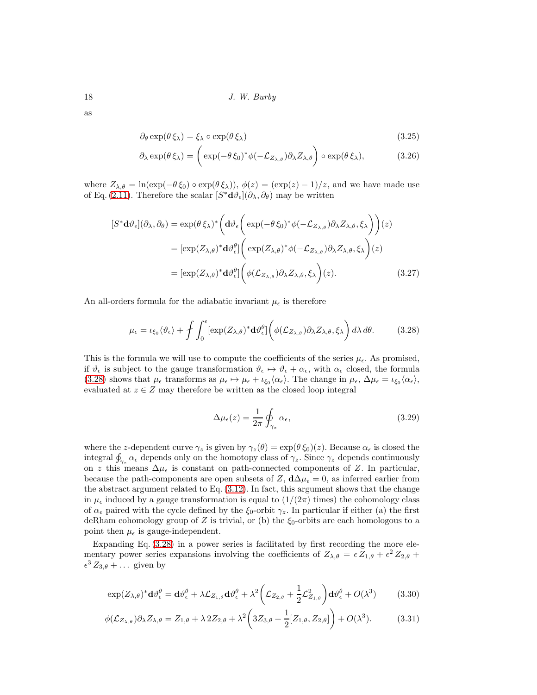as

$$
\partial_{\theta} \exp(\theta \,\xi_{\lambda}) = \xi_{\lambda} \circ \exp(\theta \,\xi_{\lambda}) \tag{3.25}
$$

$$
\partial_{\lambda} \exp(\theta \xi_{\lambda}) = \left( \exp(-\theta \xi_0)^* \phi(-\mathcal{L}_{Z_{\lambda,\theta}}) \partial_{\lambda} Z_{\lambda,\theta} \right) \circ \exp(\theta \xi_{\lambda}), \tag{3.26}
$$

where  $Z_{\lambda,\theta} = \ln(\exp(-\theta \xi_0) \circ \exp(\theta \xi_\lambda))$ ,  $\phi(z) = (\exp(z) - 1)/z$ , and we have made use of Eq. [\(2.11\)](#page-5-4). Therefore the scalar  $[S^*d\vartheta_{\epsilon}](\partial_{\lambda}, \partial_{\theta})$  may be written

$$
[S^* \mathbf{d}\vartheta_{\epsilon}](\partial_{\lambda}, \partial_{\theta}) = \exp(\theta \xi_{\lambda})^* \left( \mathbf{d}\vartheta_{\epsilon} \left( \exp(-\theta \xi_0)^* \phi(-\mathcal{L}_{Z_{\lambda,\theta}}) \partial_{\lambda} Z_{\lambda,\theta}, \xi_{\lambda} \right) \right) (z)
$$
  

$$
= [\exp(Z_{\lambda,\theta})^* \mathbf{d}\vartheta_{\epsilon}^{\theta}] \left( \exp(Z_{\lambda,\theta})^* \phi(-\mathcal{L}_{Z_{\lambda,\theta}}) \partial_{\lambda} Z_{\lambda,\theta}, \xi_{\lambda} \right) (z)
$$
  

$$
= [\exp(Z_{\lambda,\theta})^* \mathbf{d}\vartheta_{\epsilon}^{\theta}] \left( \phi(\mathcal{L}_{Z_{\lambda,\theta}}) \partial_{\lambda} Z_{\lambda,\theta}, \xi_{\lambda} \right) (z).
$$
(3.27)

An all-orders formula for the adiabatic invariant  $\mu_{\epsilon}$  is therefore

$$
\mu_{\epsilon} = \iota_{\xi_0} \langle \vartheta_{\epsilon} \rangle + \int \int_0^{\epsilon} \left[ \exp(Z_{\lambda,\theta})^* \mathbf{d} \vartheta_{\epsilon}^{\theta} \right] \left( \phi(\mathcal{L}_{Z_{\lambda,\theta}}) \partial_{\lambda} Z_{\lambda,\theta}, \xi_{\lambda} \right) d\lambda d\theta. \tag{3.28}
$$

This is the formula we will use to compute the coefficients of the series  $\mu_{\epsilon}$ . As promised, if  $\vartheta_{\epsilon}$  is subject to the gauge transformation  $\vartheta_{\epsilon} \mapsto \vartheta_{\epsilon} + \alpha_{\epsilon}$ , with  $\alpha_{\epsilon}$  closed, the formula [\(3.28\)](#page-17-0) shows that  $\mu_{\epsilon}$  transforms as  $\mu_{\epsilon} \mapsto \mu_{\epsilon} + \iota_{\xi_0} \langle \alpha_{\epsilon} \rangle$ . The change in  $\mu_{\epsilon}$ ,  $\Delta \mu_{\epsilon} = \iota_{\xi_0} \langle \alpha_{\epsilon} \rangle$ , evaluated at  $z \in Z$  may therefore be written as the closed loop integral

<span id="page-17-0"></span>
$$
\Delta \mu_{\epsilon}(z) = \frac{1}{2\pi} \oint_{\gamma_z} \alpha_{\epsilon},\tag{3.29}
$$

where the z-dependent curve  $\gamma_z$  is given by  $\gamma_z(\theta) = \exp(\theta \xi_0)(z)$ . Because  $\alpha_{\epsilon}$  is closed the integral  $\oint_{\gamma_z} \alpha_{\epsilon}$  depends only on the homotopy class of  $\gamma_z$ . Since  $\gamma_z$  depends continuously on z this means  $\Delta\mu_{\epsilon}$  is constant on path-connected components of Z. In particular, because the path-components are open subsets of Z,  $d\Delta\mu_{\epsilon}=0$ , as inferred earlier from the abstract argument related to Eq. [\(3.12\)](#page-15-4). In fact, this argument shows that the change in  $\mu_{\epsilon}$  induced by a gauge transformation is equal to  $(1/(2\pi))$  times) the cohomology class of  $\alpha_{\epsilon}$  paired with the cycle defined by the  $\xi_0$ -orbit  $\gamma_z$ . In particular if either (a) the first deRham cohomology group of Z is trivial, or (b) the  $\xi_0$ -orbits are each homologous to a point then  $\mu_{\epsilon}$  is gauge-independent.

Expanding Eq. [\(3.28\)](#page-17-0) in a power series is facilitated by first recording the more elementary power series expansions involving the coefficients of  $Z_{\lambda,\theta} = \epsilon Z_{1,\theta} + \epsilon^2 Z_{2,\theta} +$  $\epsilon^3 Z_{3,\theta} + \dots$  given by

$$
\exp(Z_{\lambda,\theta})^* \mathbf{d}\vartheta_{\epsilon}^{\theta} = \mathbf{d}\vartheta_{\epsilon}^{\theta} + \lambda \mathcal{L}_{Z_{1,\theta}} \mathbf{d}\vartheta_{\epsilon}^{\theta} + \lambda^2 \left( \mathcal{L}_{Z_{2,\theta}} + \frac{1}{2} \mathcal{L}_{Z_{1,\theta}}^2 \right) \mathbf{d}\vartheta_{\epsilon}^{\theta} + O(\lambda^3)
$$
(3.30)

$$
\phi(\mathcal{L}_{Z_{\lambda,\theta}})\partial_{\lambda}Z_{\lambda,\theta} = Z_{1,\theta} + \lambda 2Z_{2,\theta} + \lambda^2 \left(3Z_{3,\theta} + \frac{1}{2}[Z_{1,\theta}, Z_{2,\theta}]\right) + O(\lambda^3). \tag{3.31}
$$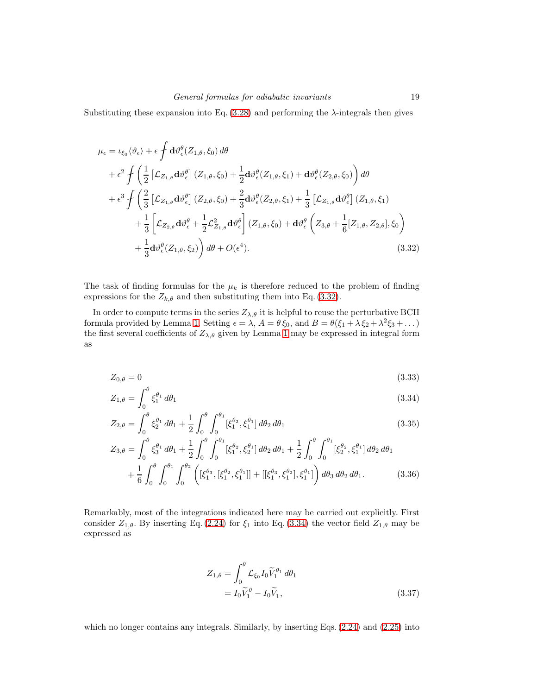Substituting these expansion into Eq.  $(3.28)$  and performing the  $\lambda$ -integrals then gives

<span id="page-18-0"></span>
$$
\mu_{\epsilon} = \iota_{\xi_{0}} \langle \vartheta_{\epsilon} \rangle + \epsilon \int d\vartheta_{\epsilon}^{\theta} (Z_{1,\theta}, \xi_{0}) d\theta \n+ \epsilon^{2} \int \left( \frac{1}{2} \left[ \mathcal{L}_{Z_{1,\theta}} d\vartheta_{\epsilon}^{\theta} \right] (Z_{1,\theta}, \xi_{0}) + \frac{1}{2} d\vartheta_{\epsilon}^{\theta} (Z_{1,\theta}, \xi_{1}) + d\vartheta_{\epsilon}^{\theta} (Z_{2,\theta}, \xi_{0}) \right) d\theta \n+ \epsilon^{3} \int \left( \frac{2}{3} \left[ \mathcal{L}_{Z_{1,\theta}} d\vartheta_{\epsilon}^{\theta} \right] (Z_{2,\theta}, \xi_{0}) + \frac{2}{3} d\vartheta_{\epsilon}^{\theta} (Z_{2,\theta}, \xi_{1}) + \frac{1}{3} \left[ \mathcal{L}_{Z_{1,\theta}} d\vartheta_{\epsilon}^{\theta} \right] (Z_{1,\theta}, \xi_{1}) \n+ \frac{1}{3} \left[ \mathcal{L}_{Z_{2,\theta}} d\vartheta_{\epsilon}^{\theta} + \frac{1}{2} \mathcal{L}_{Z_{1,\theta}}^{2} d\vartheta_{\epsilon}^{\theta} \right] (Z_{1,\theta}, \xi_{0}) + d\vartheta_{\epsilon}^{\theta} \left( Z_{3,\theta} + \frac{1}{6} [Z_{1,\theta}, Z_{2,\theta}], \xi_{0} \right) \n+ \frac{1}{3} d\vartheta_{\epsilon}^{\theta} (Z_{1,\theta}, \xi_{2}) \right) d\theta + O(\epsilon^{4}). \tag{3.32}
$$

The task of finding formulas for the  $\mu_k$  is therefore reduced to the problem of finding expressions for the  $Z_{k,\theta}$  and then substituting them into Eq. [\(3.32\)](#page-18-0).

In order to compute terms in the series  $Z_{\lambda,\theta}$  it is helpful to reuse the perturbative BCH formula provided by Lemma [1.](#page-4-6) Setting  $\epsilon = \lambda$ ,  $A = \theta \xi_0$ , and  $B = \theta(\xi_1 + \lambda \xi_2 + \lambda^2 \xi_3 + ...)$ the first several coefficients of  $Z_{\lambda,\theta}$  given by Lemma [1](#page-4-6) may be expressed in integral form as

$$
Z_{0,\theta} = 0 \tag{3.33}
$$

$$
Z_{1,\theta} = \int_0^\sigma \xi_1^{\theta_1} d\theta_1 \tag{3.34}
$$

$$
Z_{2,\theta} = \int_0^{\theta} \xi_2^{\theta_1} d\theta_1 + \frac{1}{2} \int_0^{\theta} \int_0^{\theta_1} [\xi_1^{\theta_2}, \xi_1^{\theta_1}] d\theta_2 d\theta_1
$$
\n(3.35)

$$
Z_{3,\theta} = \int_0^{\theta} \xi_3^{\theta_1} d\theta_1 + \frac{1}{2} \int_0^{\theta} \int_0^{\theta_1} [\xi_1^{\theta_2}, \xi_2^{\theta_1}] d\theta_2 d\theta_1 + \frac{1}{2} \int_0^{\theta} \int_0^{\theta_1} [\xi_2^{\theta_2}, \xi_1^{\theta_1}] d\theta_2 d\theta_1 + \frac{1}{6} \int_0^{\theta} \int_0^{\theta_1} \int_0^{\theta_2} ([\xi_1^{\theta_3}, [\xi_1^{\theta_2}, \xi_1^{\theta_1}]] + [[\xi_1^{\theta_3}, \xi_1^{\theta_2}], \xi_1^{\theta_1}]) d\theta_3 d\theta_2 d\theta_1.
$$
 (3.36)

Remarkably, most of the integrations indicated here may be carried out explicitly. First consider  $Z_{1,\theta}$ . By inserting Eq. [\(2.24\)](#page-8-2) for  $\xi_1$  into Eq. [\(3.34\)](#page-18-1) the vector field  $Z_{1,\theta}$  may be expressed as

<span id="page-18-2"></span><span id="page-18-1"></span>
$$
Z_{1,\theta} = \int_0^{\theta} \mathcal{L}_{\xi_0} I_0 \widetilde{V}_1^{\theta_1} d\theta_1
$$
  
=  $I_0 \widetilde{V}_1^{\theta} - I_0 \widetilde{V}_1,$  (3.37)

which no longer contains any integrals. Similarly, by inserting Eqs. [\(2.24\)](#page-8-2) and [\(2.25\)](#page-8-3) into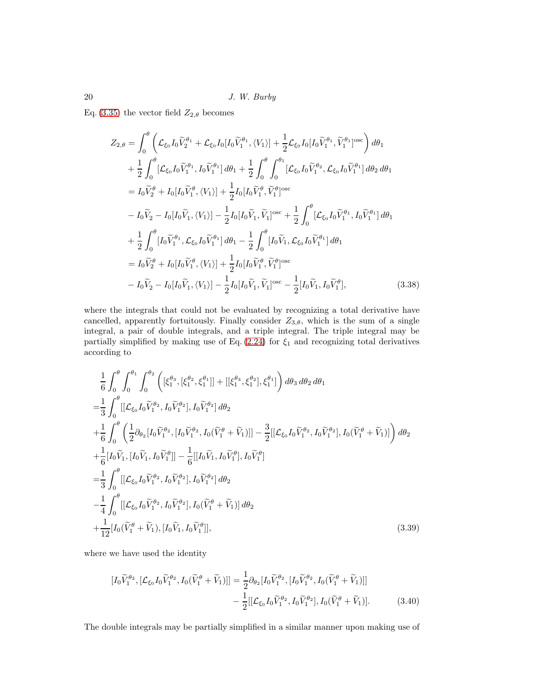Eq. [\(3.35\)](#page-18-2) the vector field  $Z_{2,\theta}$  becomes

$$
Z_{2,\theta} = \int_{0}^{\theta} \left( \mathcal{L}_{\xi_{0}} I_{0} \widetilde{V}_{2}^{\theta_{1}} + \mathcal{L}_{\xi_{0}} I_{0} [I_{0} \widetilde{V}_{1}^{\theta_{1}}, \langle V_{1} \rangle] + \frac{1}{2} \mathcal{L}_{\xi_{0}} I_{0} [I_{0} \widetilde{V}_{1}^{\theta_{1}}, \widetilde{V}_{1}^{\theta_{1}}]^{\text{osc}} \right) d\theta_{1} + \frac{1}{2} \int_{0}^{\theta} \left[ \mathcal{L}_{\xi_{0}} I_{0} \widetilde{V}_{1}^{\theta_{1}}, I_{0} \widetilde{V}_{1}^{\theta_{1}} \right] d\theta_{1} + \frac{1}{2} \int_{0}^{\theta} \int_{0}^{\theta_{1}} \left[ \mathcal{L}_{\xi_{0}} I_{0} \widetilde{V}_{1}^{\theta_{2}}, \mathcal{L}_{\xi_{0}} I_{0} \widetilde{V}_{1}^{\theta_{1}} \right] d\theta_{2} d\theta_{1} = I_{0} \widetilde{V}_{2}^{\theta} + I_{0} [I_{0} \widetilde{V}_{1}^{\theta}, \langle V_{1} \rangle] + \frac{1}{2} I_{0} [I_{0} \widetilde{V}_{1}^{\theta}, \widetilde{V}_{1}^{\theta}]^{\text{osc}} - I_{0} \widetilde{V}_{2} - I_{0} [I_{0} \widetilde{V}_{1}, \langle V_{1} \rangle] - \frac{1}{2} I_{0} [I_{0} \widetilde{V}_{1}, \widetilde{V}_{1}^{\theta}]^{\text{osc}} + \frac{1}{2} \int_{0}^{\theta} \left[ \mathcal{L}_{\xi_{0}} I_{0} \widetilde{V}_{1}^{\theta_{1}}, I_{0} \widetilde{V}_{1}^{\theta_{1}} \right] d\theta_{1} + \frac{1}{2} \int_{0}^{\theta} \left[ I_{0} \widetilde{V}_{1}^{\theta}, \mathcal{L}_{\xi_{0}} I_{0} \widetilde{V}_{1}^{\theta_{1}} \right] d\theta_{1} - \frac{1}{2} \int_{0}^{\theta} \left[ I_{0} \widetilde{V}_{1}, \mathcal{L}_{\xi_{0}} I_{0} \widetilde{V}_{1}^{\
$$

<span id="page-19-1"></span>where the integrals that could not be evaluated by recognizing a total derivative have cancelled, apparently fortuitously. Finally consider  $Z_{3,\theta}$ , which is the sum of a single integral, a pair of double integrals, and a triple integral. The triple integral may be partially simplified by making use of Eq.  $(2.24)$  for  $\xi_1$  and recognizing total derivatives according to

$$
\frac{1}{6} \int_{0}^{\theta} \int_{0}^{\theta_{1}} \int_{0}^{\theta_{2}} \left( [\xi_{1}^{\theta_{3}}, [\xi_{1}^{\theta_{2}}, \xi_{1}^{\theta_{1}}]] + [[\xi_{1}^{\theta_{3}}, \xi_{1}^{\theta_{2}}], \xi_{1}^{\theta_{1}}] \right) d\theta_{3} d\theta_{2} d\theta_{1}
$$
\n
$$
= \frac{1}{3} \int_{0}^{\theta} [[\mathcal{L}_{\xi_{0}} I_{0} \widetilde{V}_{1}^{\theta_{2}}, I_{0} \widetilde{V}_{1}^{\theta_{2}}], I_{0} \widetilde{V}_{1}^{\theta_{2}}] d\theta_{2}
$$
\n
$$
+ \frac{1}{6} \int_{0}^{\theta} \left( \frac{1}{2} \partial_{\theta_{2}} [I_{0} \widetilde{V}_{1}^{\theta_{2}}, [I_{0} \widetilde{V}_{1}^{\theta_{2}}, I_{0} (\widetilde{V}_{1}^{\theta} + \widetilde{V}_{1})]] - \frac{3}{2} [[\mathcal{L}_{\xi_{0}} I_{0} \widetilde{V}_{1}^{\theta_{2}}, I_{0} (\widetilde{V}_{1}^{\theta} + \widetilde{V}_{1})]] \right) d\theta_{2}
$$
\n
$$
+ \frac{1}{6} [I_{0} \widetilde{V}_{1}, [I_{0} \widetilde{V}_{1}, I_{0} \widetilde{V}_{1}^{\theta_{2}}]] - \frac{1}{6} [[I_{0} \widetilde{V}_{1}, I_{0} \widetilde{V}_{1}^{\theta_{2}}], I_{0} \widetilde{V}_{1}^{\theta_{2}}]
$$
\n
$$
= \frac{1}{3} \int_{0}^{\theta} [[\mathcal{L}_{\xi_{0}} I_{0} \widetilde{V}_{1}^{\theta_{2}}, I_{0} \widetilde{V}_{1}^{\theta_{2}}], I_{0} \widetilde{V}_{1}^{\theta_{2}}] d\theta_{2}
$$
\n
$$
- \frac{1}{4} \int_{0}^{\theta} [[\mathcal{L}_{\xi_{0}} I_{0} \widetilde{V}_{1}^{\theta_{2}}, I_{0} \widetilde{V}_{1}^{\theta_{2}}], I_{0} (\widetilde{V}_{1}^{\theta} + \widetilde{V}_{1})] d
$$

where we have used the identity

<span id="page-19-0"></span>
$$
[I_0\widetilde{V}_1^{\theta_2}, [\mathcal{L}_{\xi_0}I_0\widetilde{V}_1^{\theta_2}, I_0(\widetilde{V}_1^{\theta} + \widetilde{V}_1)]] = \frac{1}{2}\partial_{\theta_2}[I_0\widetilde{V}_1^{\theta_2}, [I_0\widetilde{V}_1^{\theta_2}, I_0(\widetilde{V}_1^{\theta} + \widetilde{V}_1)]] -\frac{1}{2}[[\mathcal{L}_{\xi_0}I_0\widetilde{V}_1^{\theta_2}, I_0\widetilde{V}_1^{\theta_2}], I_0(\widetilde{V}_1^{\theta} + \widetilde{V}_1)].
$$
(3.40)

The double integrals may be partially simplified in a similar manner upon making use of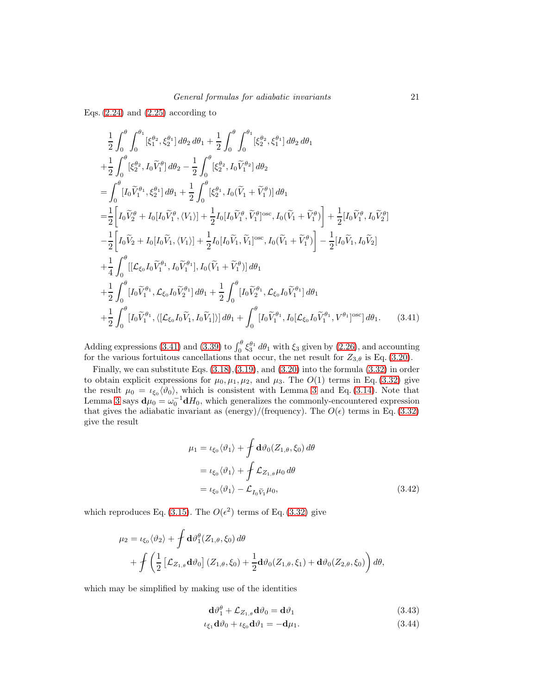Eqs.  $(2.24)$  and  $(2.25)$  according to

$$
\frac{1}{2} \int_{0}^{\theta} \int_{0}^{\theta_{1}} [\xi_{1}^{\theta_{2}}, \xi_{2}^{\theta_{1}}] d\theta_{2} d\theta_{1} + \frac{1}{2} \int_{0}^{\theta} \int_{0}^{\theta_{1}} [\xi_{2}^{\theta_{2}}, \xi_{1}^{\theta_{1}}] d\theta_{2} d\theta_{1} \n+ \frac{1}{2} \int_{0}^{\theta} [\xi_{2}^{\theta_{2}}, I_{0}\tilde{V}_{1}^{\theta_{1}}] d\theta_{2} - \frac{1}{2} \int_{0}^{\theta} [\xi_{2}^{\theta_{2}}, I_{0}\tilde{V}_{1}^{\theta_{2}}] d\theta_{2} \n= \int_{0}^{\theta} [I_{0}\tilde{V}_{1}^{\theta_{1}}, \xi_{2}^{\theta_{1}}] d\theta_{1} + \frac{1}{2} \int_{0}^{\theta} [\xi_{2}^{\theta_{1}}, I_{0}(\tilde{V}_{1} + \tilde{V}_{1}^{\theta_{1}})] d\theta_{1} \n= \frac{1}{2} \Bigg[ I_{0}\tilde{V}_{2}^{\theta} + I_{0}[I_{0}\tilde{V}_{1}^{\theta}, \langle V_{1} \rangle] + \frac{1}{2} I_{0}[I_{0}\tilde{V}_{1}^{\theta}, \tilde{V}_{1}^{\theta_{1}}]^{osc}, I_{0}(\tilde{V}_{1} + \tilde{V}_{1}^{\theta_{1}}) \Bigg] + \frac{1}{2} [I_{0}\tilde{V}_{1}^{\theta}, I_{0}\tilde{V}_{2}^{\theta_{2}}] \n- \frac{1}{2} \Bigg[ I_{0}\tilde{V}_{2} + I_{0}[I_{0}\tilde{V}_{1}, \langle V_{1} \rangle] + \frac{1}{2} I_{0}[I_{0}\tilde{V}_{1}, \tilde{V}_{1}^{\theta_{1}}]^{osc}, I_{0}(\tilde{V}_{1} + \tilde{V}_{1}^{\theta_{1}}) \Bigg] - \frac{1}{2} [I_{0}\tilde{V}_{1}, I_{0}\tilde{V}_{2}] \n+ \frac{1}{4} \int_{0}^{\theta} [[\mathcal{L}_{\xi_{0}} I_{0}\tilde{V}_{1}^{\theta_{1}}, I_{0}\tilde{V}_{1}^{\theta_{1}}], I_{0}(\tilde{V}_{1}
$$

Adding expressions [\(3.41\)](#page-20-0) and [\(3.39\)](#page-19-0) to  $\int_0^\theta \xi_3^{\theta_1} d\theta_1$  with  $\xi_3$  given by [\(2.26\)](#page-8-4), and accounting for the various fortuitous cancellations that occur, the net result for  $Z_{3,\theta}$  is Eq. [\(3.20\)](#page-16-1).

Finally, we can substitute Eqs. [\(3.18\)](#page-16-2),[\(3.19\)](#page-16-3), and [\(3.20\)](#page-16-1) into the formula [\(3.32\)](#page-18-0) in order to obtain explicit expressions for  $\mu_0, \mu_1, \mu_2$ , and  $\mu_3$ . The  $O(1)$  terms in Eq. [\(3.32\)](#page-18-0) give the result  $\mu_0 = \iota_{\xi_0}(\vartheta_0)$ , which is consistent with Lemma [3](#page-13-1) and Eq. [\(3.14\)](#page-15-1). Note that Lemma [3](#page-13-1) says  $\mathbf{d}\mu_0 = \omega_0^{-1} \mathbf{d}H_0$ , which generalizes the commonly-encountered expression that gives the adiabatic invariant as (energy)/(frequency). The  $O(\epsilon)$  terms in Eq. [\(3.32\)](#page-18-0) give the result

<span id="page-20-0"></span>
$$
\mu_1 = \iota_{\xi_0} \langle \vartheta_1 \rangle + \int d\vartheta_0 (Z_{1,\theta}, \xi_0) d\theta
$$
  
=  $\iota_{\xi_0} \langle \vartheta_1 \rangle + \int \mathcal{L}_{Z_{1,\theta}} \mu_0 d\theta$   
=  $\iota_{\xi_0} \langle \vartheta_1 \rangle - \mathcal{L}_{I_0 \widetilde{V}_1} \mu_0,$  (3.42)

which reproduces Eq. [\(3.15\)](#page-15-5). The  $O(\epsilon^2)$  terms of Eq. [\(3.32\)](#page-18-0) give

$$
\mu_2 = \iota_{\xi_0} \langle \vartheta_2 \rangle + \int d\vartheta_1^{\theta} (Z_{1,\theta}, \xi_0) d\theta + \int \left( \frac{1}{2} \left[ \mathcal{L}_{Z_{1,\theta}} d\vartheta_0 \right] (Z_{1,\theta}, \xi_0) + \frac{1}{2} d\vartheta_0 (Z_{1,\theta}, \xi_1) + d\vartheta_0 (Z_{2,\theta}, \xi_0) \right) d\theta,
$$

which may be simplified by making use of the identities

<span id="page-20-2"></span><span id="page-20-1"></span>
$$
\mathbf{d}\vartheta_1^{\theta} + \mathcal{L}_{Z_{1,\theta}}\mathbf{d}\vartheta_0 = \mathbf{d}\vartheta_1\tag{3.43}
$$

$$
\iota_{\xi_1} \mathbf{d} \vartheta_0 + \iota_{\xi_0} \mathbf{d} \vartheta_1 = -\mathbf{d} \mu_1. \tag{3.44}
$$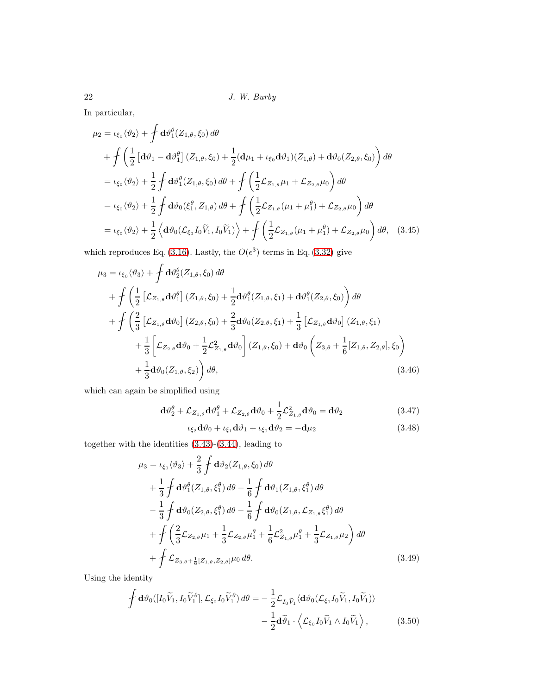In particular,

$$
\mu_{2} = \iota_{\xi_{0}} \langle \vartheta_{2} \rangle + \int d\vartheta_{1}^{\theta} (Z_{1,\theta}, \xi_{0}) d\theta \n+ \int \left( \frac{1}{2} \left[ d\vartheta_{1} - d\vartheta_{1}^{\theta} \right] (Z_{1,\theta}, \xi_{0}) + \frac{1}{2} (d\mu_{1} + \iota_{\xi_{0}} d\vartheta_{1}) (Z_{1,\theta}) + d\vartheta_{0} (Z_{2,\theta}, \xi_{0}) \right) d\theta \n= \iota_{\xi_{0}} \langle \vartheta_{2} \rangle + \frac{1}{2} \int d\vartheta_{1}^{\theta} (Z_{1,\theta}, \xi_{0}) d\theta + \int \left( \frac{1}{2} \mathcal{L}_{Z_{1,\theta}} \mu_{1} + \mathcal{L}_{Z_{2,\theta}} \mu_{0} \right) d\theta \n= \iota_{\xi_{0}} \langle \vartheta_{2} \rangle + \frac{1}{2} \int d\vartheta_{0} (\xi_{1}^{\theta}, Z_{1,\theta}) d\theta + \int \left( \frac{1}{2} \mathcal{L}_{Z_{1,\theta}} (\mu_{1} + \mu_{1}^{\theta}) + \mathcal{L}_{Z_{2,\theta}} \mu_{0} \right) d\theta \n= \iota_{\xi_{0}} \langle \vartheta_{2} \rangle + \frac{1}{2} \left\langle d\vartheta_{0} (\mathcal{L}_{\xi_{0}} I_{0} \widetilde{V}_{1}, I_{0} \widetilde{V}_{1}) \right\rangle + \int \left( \frac{1}{2} \mathcal{L}_{Z_{1,\theta}} (\mu_{1} + \mu_{1}^{\theta}) + \mathcal{L}_{Z_{2,\theta}} \mu_{0} \right) d\theta, \quad (3.45)
$$

which reproduces Eq. [\(3.16\)](#page-15-6). Lastly, the  $O(\epsilon^3)$  terms in Eq. [\(3.32\)](#page-18-0) give

$$
\mu_3 = \iota_{\xi_0} \langle \vartheta_3 \rangle + \int d\vartheta_2^{\theta} (Z_{1,\theta}, \xi_0) d\theta \n+ \int \left( \frac{1}{2} \left[ \mathcal{L}_{Z_{1,\theta}} d\vartheta_1^{\theta} \right] (Z_{1,\theta}, \xi_0) + \frac{1}{2} d\vartheta_1^{\theta} (Z_{1,\theta}, \xi_1) + d\vartheta_1^{\theta} (Z_{2,\theta}, \xi_0) \right) d\theta \n+ \int \left( \frac{2}{3} \left[ \mathcal{L}_{Z_{1,\theta}} d\vartheta_0 \right] (Z_{2,\theta}, \xi_0) + \frac{2}{3} d\vartheta_0 (Z_{2,\theta}, \xi_1) + \frac{1}{3} \left[ \mathcal{L}_{Z_{1,\theta}} d\vartheta_0 \right] (Z_{1,\theta}, \xi_1) \n+ \frac{1}{3} \left[ \mathcal{L}_{Z_{2,\theta}} d\vartheta_0 + \frac{1}{2} \mathcal{L}_{Z_{1,\theta}}^2 d\vartheta_0 \right] (Z_{1,\theta}, \xi_0) + d\vartheta_0 \left( Z_{3,\theta} + \frac{1}{6} [Z_{1,\theta}, Z_{2,\theta}], \xi_0 \right) \n+ \frac{1}{3} d\vartheta_0 (Z_{1,\theta}, \xi_2) \right) d\theta,
$$
\n(3.46)

which can again be simplified using

$$
\mathbf{d}\vartheta_2^{\theta} + \mathcal{L}_{Z_{1,\theta}}\mathbf{d}\vartheta_1^{\theta} + \mathcal{L}_{Z_{2,\theta}}\mathbf{d}\vartheta_0 + \frac{1}{2}\mathcal{L}_{Z_{1,\theta}}^2\mathbf{d}\vartheta_0 = \mathbf{d}\vartheta_2
$$
\n(3.47)

<span id="page-21-0"></span>
$$
\iota_{\xi_2} \mathbf{d}\vartheta_0 + \iota_{\xi_1} \mathbf{d}\vartheta_1 + \iota_{\xi_0} \mathbf{d}\vartheta_2 = -\mathbf{d}\mu_2 \tag{3.48}
$$

together with the identities [\(3.43\)](#page-20-1)-[\(3.44\)](#page-20-2), leading to

$$
\mu_3 = \iota_{\xi_0} \langle \vartheta_3 \rangle + \frac{2}{3} \int d\vartheta_2 (Z_{1,\theta}, \xi_0) d\theta \n+ \frac{1}{3} \int d\vartheta_1^{\theta} (Z_{1,\theta}, \xi_1^{\theta}) d\theta - \frac{1}{6} \int d\vartheta_1 (Z_{1,\theta}, \xi_1^{\theta}) d\theta \n- \frac{1}{3} \int d\vartheta_0 (Z_{2,\theta}, \xi_1^{\theta}) d\theta - \frac{1}{6} \int d\vartheta_0 (Z_{1,\theta}, \mathcal{L}_{Z_{1,\theta}} \xi_1^{\theta}) d\theta \n+ \int \left( \frac{2}{3} \mathcal{L}_{Z_{2,\theta}} \mu_1 + \frac{1}{3} \mathcal{L}_{Z_{2,\theta}} \mu_1^{\theta} + \frac{1}{6} \mathcal{L}_{Z_{1,\theta}}^2 \mu_1^{\theta} + \frac{1}{3} \mathcal{L}_{Z_{1,\theta}} \mu_2 \right) d\theta \n+ \int \mathcal{L}_{Z_{3,\theta} + \frac{1}{6} [Z_{1,\theta}, Z_{2,\theta}] \mu_0 d\theta.
$$
\n(3.49)

Using the identity

$$
\oint d\vartheta_0([I_0\widetilde{V}_1, I_0\widetilde{V}_1^{\theta}], \mathcal{L}_{\xi_0}I_0\widetilde{V}_1^{\theta}) d\theta = -\frac{1}{2}\mathcal{L}_{I_0\widetilde{V}_1} \langle d\vartheta_0(\mathcal{L}_{\xi_0}I_0\widetilde{V}_1, I_0\widetilde{V}_1) \rangle -\frac{1}{2}d\widetilde{\vartheta}_1 \cdot \langle \mathcal{L}_{\xi_0}I_0\widetilde{V}_1 \wedge I_0\widetilde{V}_1 \rangle, \qquad (3.50)
$$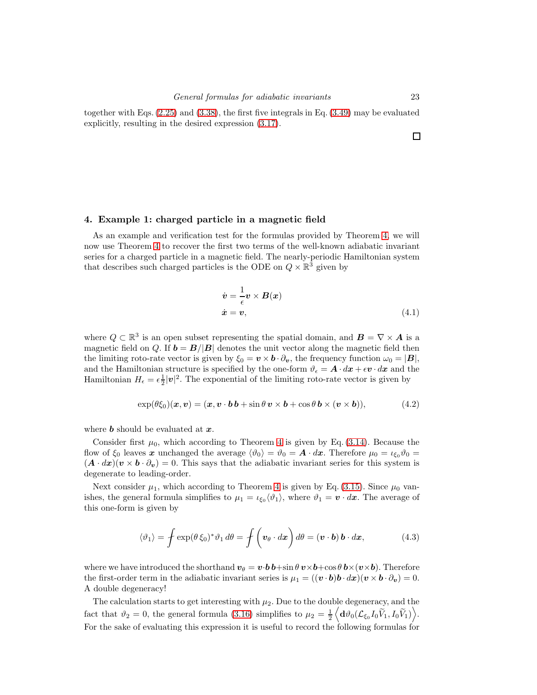together with Eqs. [\(2.25\)](#page-8-3) and [\(3.38\)](#page-19-1), the first five integrals in Eq. [\(3.49\)](#page-21-0) may be evaluated explicitly, resulting in the desired expression [\(3.17\)](#page-15-2).

#### <span id="page-22-0"></span>4. Example 1: charged particle in a magnetic field

As an example and verification test for the formulas provided by Theorem [4,](#page-15-0) we will now use Theorem [4](#page-15-0) to recover the first two terms of the well-known adiabatic invariant series for a charged particle in a magnetic field. The nearly-periodic Hamiltonian system that describes such charged particles is the ODE on  $Q \times \mathbb{R}^3$  given by

$$
\dot{v} = -\frac{1}{\epsilon} v \times B(x) \n\dot{x} = v,
$$
\n(4.1)

where  $Q \subset \mathbb{R}^3$  is an open subset representing the spatial domain, and  $B = \nabla \times A$  is a magnetic field on Q. If  $\mathbf{b} = \mathbf{B}/|\mathbf{B}|$  denotes the unit vector along the magnetic field then the limiting roto-rate vector is given by  $\xi_0 = \mathbf{v} \times \mathbf{b} \cdot \partial_{\mathbf{v}}$ , the frequency function  $\omega_0 = |\mathbf{B}|$ , and the Hamiltonian structure is specified by the one-form  $\vartheta_{\epsilon} = \mathbf{A} \cdot d\mathbf{x} + \epsilon \mathbf{v} \cdot d\mathbf{x}$  and the Hamiltonian  $H_{\epsilon} = \epsilon \frac{1}{2} |\mathbf{v}|^2$ . The exponential of the limiting roto-rate vector is given by

$$
\exp(\theta \xi_0)(\boldsymbol{x}, \boldsymbol{v}) = (\boldsymbol{x}, \boldsymbol{v} \cdot \boldsymbol{b} \, \boldsymbol{b} + \sin \theta \, \boldsymbol{v} \times \boldsymbol{b} + \cos \theta \, \boldsymbol{b} \times (\boldsymbol{v} \times \boldsymbol{b})), \tag{4.2}
$$

where **b** should be evaluated at  $x$ .

Consider first  $\mu_0$ , which according to Theorem [4](#page-15-0) is given by Eq. [\(3.14\)](#page-15-1). Because the flow of  $\xi_0$  leaves x unchanged the average  $\langle \vartheta_0 \rangle = \vartheta_0 = A \cdot dx$ . Therefore  $\mu_0 = \iota_{\xi_0} \vartheta_0 = \iota_{\xi_0}$  $(A \cdot dx)(v \times b \cdot \partial_v) = 0$ . This says that the adiabatic invariant series for this system is degenerate to leading-order.

Next consider  $\mu_1$ , which according to Theorem [4](#page-15-0) is given by Eq. [\(3.15\)](#page-15-5). Since  $\mu_0$  vanishes, the general formula simplifies to  $\mu_1 = \iota_{\xi_0} \langle \vartheta_1 \rangle$ , where  $\vartheta_1 = \mathbf{v} \cdot d\mathbf{x}$ . The average of this one-form is given by

$$
\langle \vartheta_1 \rangle = \oint \exp(\theta \, \xi_0)^* \vartheta_1 \, d\theta = \oint \left( \boldsymbol{v}_{\theta} \cdot d\boldsymbol{x} \right) d\theta = (\boldsymbol{v} \cdot \boldsymbol{b}) \, \boldsymbol{b} \cdot d\boldsymbol{x}, \tag{4.3}
$$

where we have introduced the shorthand  $v_{\theta} = v \cdot b \cdot b + \sin \theta v \times b + \cos \theta b \times (v \times b)$ . Therefore the first-order term in the adiabatic invariant series is  $\mu_1 = ((\mathbf{v} \cdot \mathbf{b})\mathbf{b} \cdot d\mathbf{x})(\mathbf{v} \times \mathbf{b} \cdot \partial_{\mathbf{v}}) = 0.$ A double degeneracy!

The calculation starts to get interesting with  $\mu_2$ . Due to the double degeneracy, and the fact that  $\vartheta_2 = 0$ , the general formula [\(3.16\)](#page-15-6) simplifies to  $\mu_2 = \frac{1}{2}$  $\Big\langle {\mathbf{d}} \vartheta_0(\mathcal{L}_{\xi_0}I_0 \tilde{\bar{V}_1},I_0 \tilde{V}_1)\Big\rangle.$ For the sake of evaluating this expression it is useful to record the following formulas for

 $\Box$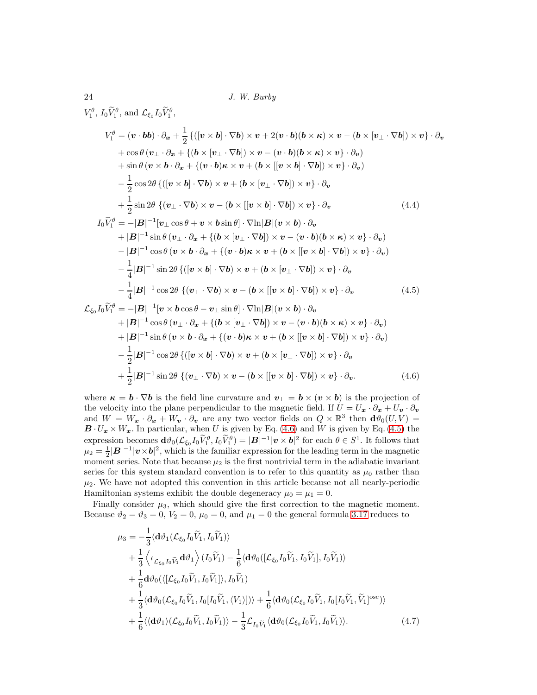$V_1^{\theta}$ ,  $I_0 \tilde{V}_1^{\theta}$ , and  $\mathcal{L}_{\xi_0} I_0 \tilde{V}_1^{\theta}$ ,

$$
V_1^{\theta} = (\mathbf{v} \cdot \mathbf{b} \mathbf{b}) \cdot \partial_{\mathbf{x}} + \frac{1}{2} \{ ([\mathbf{v} \times \mathbf{b}] \cdot \nabla \mathbf{b}) \times \mathbf{v} + 2(\mathbf{v} \cdot \mathbf{b}) (\mathbf{b} \times \mathbf{\kappa}) \times \mathbf{v} - (\mathbf{b} \times [\mathbf{v}_{\perp} \cdot \nabla \mathbf{b}]) \times \mathbf{v} \} \cdot \partial_{\mathbf{v}}
$$
  
+ cos \theta ( $\mathbf{v}_{\perp} \cdot \partial_{\mathbf{x}} + \{ (\mathbf{b} \times [\mathbf{v}_{\perp} \cdot \nabla \mathbf{b}]) \times \mathbf{v} - (\mathbf{v} \cdot \mathbf{b}) (\mathbf{b} \times \mathbf{\kappa}) \times \mathbf{v} \} \cdot \partial_{\mathbf{v}}$ )  
+ sin \theta ( $\mathbf{v} \times \mathbf{b} \cdot \partial_{\mathbf{x}} + \{ (\mathbf{v} \cdot \mathbf{b}) \mathbf{\kappa} \times \mathbf{v} + (\mathbf{b} \times [[\mathbf{v} \times \mathbf{b}] \cdot \nabla \mathbf{b}]) \times \mathbf{v} \} \cdot \partial_{\mathbf{v}}$ )  
-  $\frac{1}{2} \cos 2\theta \{ ([\mathbf{v} \times \mathbf{b}] \cdot \nabla \mathbf{b}) \times \mathbf{v} + (\mathbf{b} \times [\mathbf{v}_{\perp} \cdot \nabla \mathbf{b}]) \times \mathbf{v} \} \cdot \partial_{\mathbf{v}}$   
+  $\frac{1}{2} \sin 2\theta \{ (\mathbf{v}_{\perp} \cdot \nabla \mathbf{b}) \times \mathbf{v} - (\mathbf{b} \times [[\mathbf{v} \times \mathbf{b}] \cdot \nabla \mathbf{b}]) \times \mathbf{v} \} \cdot \partial_{\mathbf{v}}$   
+  $|\mathbf{B}|^{-1} \sin \theta (\mathbf{v}_{\perp} \cdot \partial_{\mathbf{x}} + \{ (\mathbf{b} \times [\mathbf{v}_{\perp} \cdot \nabla \mathbf{b}]) \times \mathbf{v} - (\mathbf{v} \cdot \mathbf{b}) (\mathbf{b} \times \mathbf{\kappa}) \times \mathbf{$ 

<span id="page-23-1"></span><span id="page-23-0"></span>
$$
-\frac{1}{2}|\mathbf{B}|^{-1}\cos 2\theta \left\{ ([\mathbf{v} \times \mathbf{b}] \cdot \nabla \mathbf{b}) \times \mathbf{v} + (\mathbf{b} \times [\mathbf{v}_{\perp} \cdot \nabla \mathbf{b}]) \times \mathbf{v} \right\} \cdot \partial_{\mathbf{v}} +\frac{1}{2}|\mathbf{B}|^{-1}\sin 2\theta \left\{ (\mathbf{v}_{\perp} \cdot \nabla \mathbf{b}) \times \mathbf{v} - (\mathbf{b} \times [[\mathbf{v} \times \mathbf{b}] \cdot \nabla \mathbf{b}]) \times \mathbf{v} \right\} \cdot \partial_{\mathbf{v}}.
$$
 (4.6)

where  $\kappa = b \cdot \nabla b$  is the field line curvature and  $v_{\perp} = b \times (v \times b)$  is the projection of the velocity into the plane perpendicular to the magnetic field. If  $U = U_x \cdot \partial_x + U_y \cdot \partial_y$ and  $W = W_x \cdot \partial_x + W_y \cdot \partial_y$  are any two vector fields on  $Q \times \mathbb{R}^3$  then  $\mathbf{d} \theta_0(U, V) =$  $\mathbf{B} \cdot U_x \times W_x$ . In particular, when U is given by Eq. [\(4.6\)](#page-23-0) and W is given by Eq. [\(4.5\)](#page-23-1) the expression becomes  $\mathbf{d}\vartheta_0(\mathcal{L}_{\xi_0}I_0\widetilde{V}_1^{\theta},I_0\widetilde{V}_1^{\theta}) = |\mathbf{B}|^{-1}|\mathbf{v}\times\mathbf{b}|^2$  for each  $\theta \in S^1$ . It follows that  $\mu_2 = \frac{1}{2}|\mathbf{B}|^{-1}|\mathbf{v}\times\mathbf{b}|^2$ , which is the familiar expression for the leading term in the magnetic moment series. Note that because  $\mu_2$  is the first nontrivial term in the adiabatic invariant series for this system standard convention is to refer to this quantity as  $\mu_0$  rather than  $\mu_2$ . We have not adopted this convention in this article because not all nearly-periodic Hamiltonian systems exhibit the double degeneracy  $\mu_0 = \mu_1 = 0$ .

Finally consider  $\mu_3$ , which should give the first correction to the magnetic moment. Because  $\vartheta_2 = \vartheta_3 = 0$ ,  $V_2 = 0$ ,  $\mu_0 = 0$ , and  $\mu_1 = 0$  the general formula [3.17](#page-15-2) reduces to

<span id="page-23-2"></span>
$$
\mu_3 = -\frac{1}{3} \langle \mathbf{d}\vartheta_1 (\mathcal{L}_{\xi_0} I_0 \widetilde{V}_1, I_0 \widetilde{V}_1) \rangle \n+ \frac{1}{3} \langle \iota_{\mathcal{L}_{\xi_0} I_0 \widetilde{V}_1} \mathbf{d}\vartheta_1 \rangle (I_0 \widetilde{V}_1) - \frac{1}{6} \langle \mathbf{d}\vartheta_0 ([\mathcal{L}_{\xi_0} I_0 \widetilde{V}_1, I_0 \widetilde{V}_1], I_0 \widetilde{V}_1) \rangle \n+ \frac{1}{6} \mathbf{d}\vartheta_0 (\langle [\mathcal{L}_{\xi_0} I_0 \widetilde{V}_1, I_0 \widetilde{V}_1] \rangle, I_0 \widetilde{V}_1) \n+ \frac{1}{3} \langle \mathbf{d}\vartheta_0 (\mathcal{L}_{\xi_0} I_0 \widetilde{V}_1, I_0 [I_0 \widetilde{V}_1, \langle V_1 \rangle]) \rangle + \frac{1}{6} \langle \mathbf{d}\vartheta_0 (\mathcal{L}_{\xi_0} I_0 \widetilde{V}_1, I_0 [I_0 \widetilde{V}_1, \widetilde{V}_1]^{osc}) \rangle \n+ \frac{1}{6} \langle \langle \mathbf{d}\vartheta_1 \rangle (\mathcal{L}_{\xi_0} I_0 \widetilde{V}_1, I_0 \widetilde{V}_1) \rangle - \frac{1}{3} \mathcal{L}_{I_0 \widetilde{V}_1} \langle \mathbf{d}\vartheta_0 (\mathcal{L}_{\xi_0} I_0 \widetilde{V}_1, I_0 \widetilde{V}_1) \rangle.
$$
\n(4.7)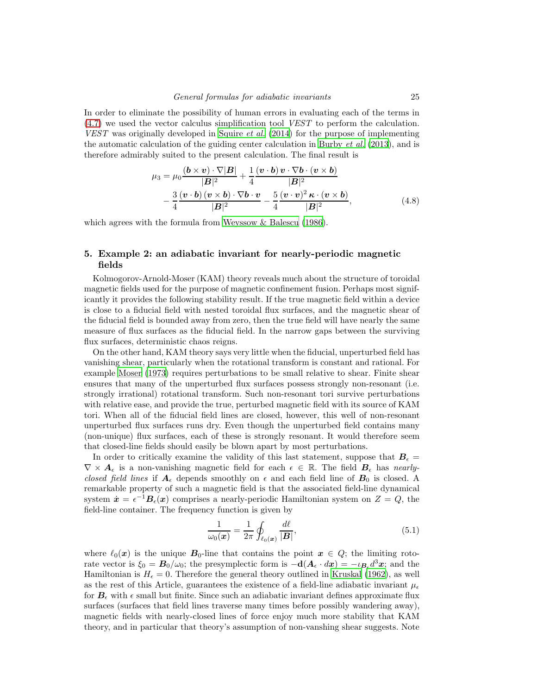In order to eliminate the possibility of human errors in evaluating each of the terms in [\(4.7\)](#page-23-2) we used the vector calculus simplification tool VEST to perform the calculation. VEST was originally developed in [Squire](#page-31-11) et al. [\(2014\)](#page-31-11) for the purpose of implementing the automatic calculation of the guiding center calculation in [Burby](#page-31-12)  $et al. (2013)$  $et al. (2013)$ , and is therefore admirably suited to the present calculation. The final result is

$$
\mu_3 = \mu_0 \frac{(\mathbf{b} \times \mathbf{v}) \cdot \nabla |\mathbf{B}|}{|\mathbf{B}|^2} + \frac{1}{4} \frac{(\mathbf{v} \cdot \mathbf{b}) \mathbf{v} \cdot \nabla \mathbf{b} \cdot (\mathbf{v} \times \mathbf{b})}{|\mathbf{B}|^2} -\frac{3}{4} \frac{(\mathbf{v} \cdot \mathbf{b})(\mathbf{v} \times \mathbf{b}) \cdot \nabla \mathbf{b} \cdot \mathbf{v}}{|\mathbf{B}|^2} - \frac{5}{4} \frac{(\mathbf{v} \cdot \mathbf{v})^2 \kappa \cdot (\mathbf{v} \times \mathbf{b})}{|\mathbf{B}|^2},
$$
(4.8)

which agrees with the formula from [Weyssow & Balescu \(1986\)](#page-31-13).

## <span id="page-24-0"></span>5. Example 2: an adiabatic invariant for nearly-periodic magnetic fields

Kolmogorov-Arnold-Moser (KAM) theory reveals much about the structure of toroidal magnetic fields used for the purpose of magnetic confinement fusion. Perhaps most significantly it provides the following stability result. If the true magnetic field within a device is close to a fiducial field with nested toroidal flux surfaces, and the magnetic shear of the fiducial field is bounded away from zero, then the true field will have nearly the same measure of flux surfaces as the fiducial field. In the narrow gaps between the surviving flux surfaces, deterministic chaos reigns.

On the other hand, KAM theory says very little when the fiducial, unperturbed field has vanishing shear, particularly when the rotational transform is constant and rational. For example Moser (1973) requires perturbations to be small relative to shear. Finite shear ensures that many of the unperturbed flux surfaces possess strongly non-resonant (i.e. strongly irrational) rotational transform. Such non-resonant tori survive perturbations with relative ease, and provide the true, perturbed magnetic field with its source of KAM tori. When all of the fiducial field lines are closed, however, this well of non-resonant unperturbed flux surfaces runs dry. Even though the unperturbed field contains many (non-unique) flux surfaces, each of these is strongly resonant. It would therefore seem that closed-line fields should easily be blown apart by most perturbations.

In order to critically examine the validity of this last statement, suppose that  $B_{\epsilon} =$  $\nabla \times A_{\epsilon}$  is a non-vanishing magnetic field for each  $\epsilon \in \mathbb{R}$ . The field  $B_{\epsilon}$  has nearlyclosed field lines if  $A_\epsilon$  depends smoothly on  $\epsilon$  and each field line of  $B_0$  is closed. A remarkable property of such a magnetic field is that the associated field-line dynamical system  $\dot{\boldsymbol{x}} = \epsilon^{-1} \boldsymbol{B}_{\epsilon}(\boldsymbol{x})$  comprises a nearly-periodic Hamiltonian system on  $Z = Q$ , the field-line container. The frequency function is given by

$$
\frac{1}{\omega_0(\mathbf{x})} = \frac{1}{2\pi} \oint_{\ell_0(\mathbf{x})} \frac{d\ell}{|\mathbf{B}|},\tag{5.1}
$$

where  $\ell_0(x)$  is the unique  $B_0$ -line that contains the point  $x \in Q$ ; the limiting rotorate vector is  $\xi_0 = \mathbf{B}_0/\omega_0$ ; the presymplectic form is  $-\mathbf{d}(\mathbf{A}_{\epsilon} \cdot d\mathbf{x}) = -\iota_{\mathbf{B}_{\epsilon}} d^3 \mathbf{x}$ ; and the Hamiltonian is  $H_{\epsilon} = 0$ . Therefore the general theory outlined in [Kruskal \(1962\)](#page-31-1), as well as the rest of this Article, guarantees the existence of a field-line adiabatic invariant  $\mu_{\epsilon}$ for  $B_{\epsilon}$  with  $\epsilon$  small but finite. Since such an adiabatic invariant defines approximate flux surfaces (surfaces that field lines traverse many times before possibly wandering away), magnetic fields with nearly-closed lines of force enjoy much more stability that KAM theory, and in particular that theory's assumption of non-vanshing shear suggests. Note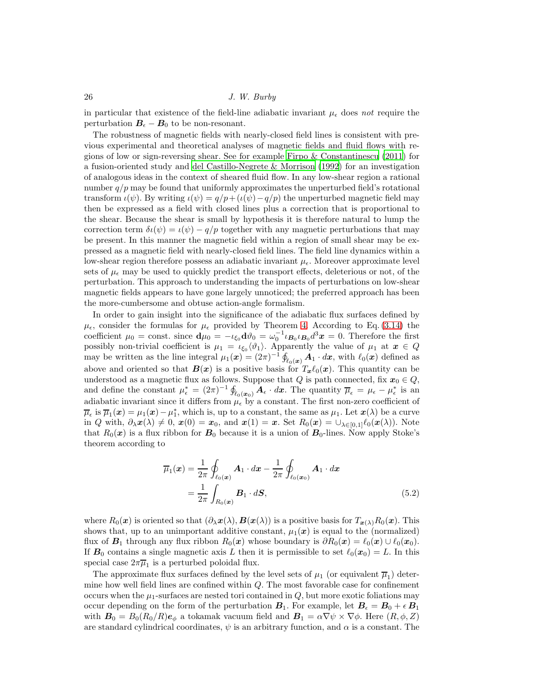in particular that existence of the field-line adiabatic invariant  $\mu_{\epsilon}$  does not require the perturbation  $B_{\epsilon} - B_0$  to be non-resonant.

The robustness of magnetic fields with nearly-closed field lines is consistent with previous experimental and theoretical analyses of magnetic fields and fluid flows with regions of low or sign-reversing shear. See for example [Firpo & Constantinescu \(2011](#page-31-14)) for a fusion-oriented study and [del Castillo-Negrete & Morrison \(1992\)](#page-31-15) for an investigation of analogous ideas in the context of sheared fluid flow. In any low-shear region a rational number  $q/p$  may be found that uniformly approximates the unperturbed field's rotational transform  $\iota(\psi)$ . By writing  $\iota(\psi) = q/p + (\iota(\psi) - q/p)$  the unperturbed magnetic field may then be expressed as a field with closed lines plus a correction that is proportional to the shear. Because the shear is small by hypothesis it is therefore natural to lump the correction term  $\delta\iota(\psi) = \iota(\psi) - q/p$  together with any magnetic perturbations that may be present. In this manner the magnetic field within a region of small shear may be expressed as a magnetic field with nearly-closed field lines. The field line dynamics within a low-shear region therefore possess an adiabatic invariant  $\mu_{\epsilon}$ . Moreover approximate level sets of  $\mu_{\epsilon}$  may be used to quickly predict the transport effects, deleterious or not, of the perturbation. This approach to understanding the impacts of perturbations on low-shear magnetic fields appears to have gone largely unnoticed; the preferred approach has been the more-cumbersome and obtuse action-angle formalism.

In order to gain insight into the significance of the adiabatic flux surfaces defined by  $\mu_{\epsilon}$ , consider the formulas for  $\mu_{\epsilon}$  provided by Theorem [4.](#page-15-0) According to Eq. [\(3.14\)](#page-15-1) the coefficient  $\mu_0 = \text{const.}$  since  $\mathbf{d}\mu_0 = -\iota_{\xi_0} \mathbf{d}\vartheta_0 = \omega_0^{-1} \iota_{\mathbf{B}_0} \iota_{\mathbf{B}_0} d^3 \mathbf{x} = 0$ . Therefore the first possibly non-trivial coefficient is  $\mu_1 = \iota_{\xi_0} \langle \vartheta_1 \rangle$ . Apparently the value of  $\mu_1$  at  $x \in Q$ may be written as the line integral  $\mu_1(x) = (2\pi)^{-1} \oint_{\ell_0(x)} A_1 \cdot dx$ , with  $\ell_0(x)$  defined as above and oriented so that  $B(x)$  is a positive basis for  $T_x\ell_0(x)$ . This quantity can be understood as a magnetic flux as follows. Suppose that Q is path connected, fix  $x_0 \in Q$ , and define the constant  $\mu_{\epsilon}^* = (2\pi)^{-1} \oint_{\ell_0(\boldsymbol{x}_0)} \boldsymbol{A}_{\epsilon} \cdot d\boldsymbol{x}$ . The quantity  $\overline{\mu}_{\epsilon} = \mu_{\epsilon} - \mu_{\epsilon}^*$  is an adiabatic invariant since it differs from  $\mu_{\epsilon}$  by a constant. The first non-zero coefficient of  $\overline{\mu}_{\epsilon}$  is  $\overline{\mu}_{1}(x) = \mu_{1}(x) - \mu_{1}^{*}$ , which is, up to a constant, the same as  $\mu_{1}$ . Let  $x(\lambda)$  be a curve in Q with,  $\partial_{\lambda}x(\lambda) \neq 0$ ,  $x(0) = x_0$ , and  $x(1) = x$ . Set  $R_0(x) = \bigcup_{\lambda \in [0,1]} \ell_0(x(\lambda))$ . Note that  $R_0(x)$  is a flux ribbon for  $B_0$  because it is a union of  $B_0$ -lines. Now apply Stoke's theorem according to

$$
\overline{\mu}_1(\boldsymbol{x}) = \frac{1}{2\pi} \oint_{\ell_0(\boldsymbol{x})} \boldsymbol{A}_1 \cdot d\boldsymbol{x} - \frac{1}{2\pi} \oint_{\ell_0(\boldsymbol{x}_0)} \boldsymbol{A}_1 \cdot d\boldsymbol{x}
$$

$$
= \frac{1}{2\pi} \int_{R_0(\boldsymbol{x})} \boldsymbol{B}_1 \cdot d\boldsymbol{S}, \tag{5.2}
$$

where  $R_0(x)$  is oriented so that  $(\partial_\lambda x(\lambda), B(x(\lambda)))$  is a positive basis for  $T_{x(\lambda)}R_0(x)$ . This shows that, up to an unimportant additive constant,  $\mu_1(x)$  is equal to the (normalized) flux of  $B_1$  through any flux ribbon  $R_0(x)$  whose boundary is  $\partial R_0(x) = \ell_0(x) \cup \ell_0(x_0)$ . If  $B_0$  contains a single magnetic axis L then it is permissible to set  $\ell_0(x_0) = L$ . In this special case  $2\pi\overline{\mu}_1$  is a perturbed poloidal flux.

The approximate flux surfaces defined by the level sets of  $\mu_1$  (or equivalent  $\overline{\mu}_1$ ) determine how well field lines are confined within Q. The most favorable case for confinement occurs when the  $\mu_1$ -surfaces are nested tori contained in  $Q$ , but more exotic foliations may occur depending on the form of the perturbation  $B_1$ . For example, let  $B_\epsilon = B_0 + \epsilon B_1$ with  $B_0 = B_0(R_0/R)e_{\phi}$  a tokamak vacuum field and  $B_1 = \alpha \nabla \psi \times \nabla \phi$ . Here  $(R, \phi, Z)$ are standard cylindrical coordinates,  $\psi$  is an arbitrary function, and  $\alpha$  is a constant. The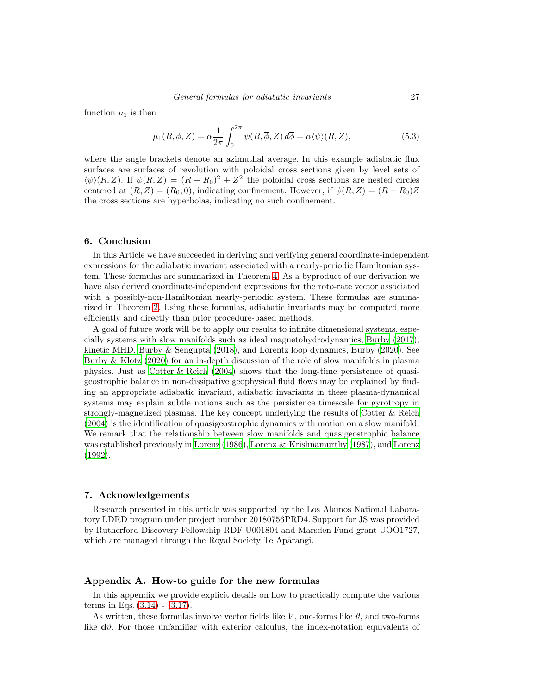function  $\mu_1$  is then

$$
\mu_1(R,\phi,Z) = \alpha \frac{1}{2\pi} \int_0^{2\pi} \psi(R,\overline{\phi},Z) d\overline{\phi} = \alpha \langle \psi \rangle(R,Z), \tag{5.3}
$$

where the angle brackets denote an azimuthal average. In this example adiabatic flux surfaces are surfaces of revolution with poloidal cross sections given by level sets of  $\langle \psi \rangle (R, Z)$ . If  $\psi (R, Z) = (R - R_0)^2 + Z^2$  the poloidal cross sections are nested circles centered at  $(R, Z) = (R_0, 0)$ , indicating confinement. However, if  $\psi(R, Z) = (R - R_0)Z$ the cross sections are hyperbolas, indicating no such confinement.

#### 6. Conclusion

In this Article we have succeeded in deriving and verifying general coordinate-independent expressions for the adiabatic invariant associated with a nearly-periodic Hamiltonian system. These formulas are summarized in Theorem [4.](#page-15-0) As a byproduct of our derivation we have also derived coordinate-independent expressions for the roto-rate vector associated with a possibly-non-Hamiltonian nearly-periodic system. These formulas are summarized in Theorem [2.](#page-7-0) Using these formulas, adiabatic invariants may be computed more efficiently and directly than prior procedure-based methods.

A goal of future work will be to apply our results to infinite dimensional systems, especially systems with slow manifolds such as ideal magnetohydrodynamics, [Burby \(2017\)](#page-31-16), kinetic MHD, [Burby & Sengupta \(2018\)](#page-31-17), and Lorentz loop dynamics, [Burby \(2020\)](#page-31-18). See [Burby & Klotz \(2020](#page-31-19)) for an in-depth discussion of the role of slow manifolds in plasma physics. Just as [Cotter & Reich \(2004\)](#page-31-20) shows that the long-time persistence of quasigeostrophic balance in non-dissipative geophysical fluid flows may be explained by finding an appropriate adiabatic invariant, adiabatic invariants in these plasma-dynamical systems may explain subtle notions such as the persistence timescale for gyrotropy in strongly-magnetized plasmas. The key concept underlying the results of [Cotter & Reich](#page-31-20) [\(2004\)](#page-31-20) is the identification of quasigeostrophic dynamics with motion on a slow manifold. We remark that the relationship between slow manifolds and quasigeostrophic balance was established previously in [Lorenz \(1986\)](#page-31-21), [Lorenz & Krishnamurthy \(1987\)](#page-31-22), and [Lorenz](#page-31-23) [\(1992\)](#page-31-23).

#### 7. Acknowledgements

Research presented in this article was supported by the Los Alamos National Laboratory LDRD program under project number 20180756PRD4. Support for JS was provided by Rutherford Discovery Fellowship RDF-U001804 and Marsden Fund grant UOO1727, which are managed through the Royal Society Te Aparangi.

#### <span id="page-26-0"></span>Appendix A. How-to guide for the new formulas

In this appendix we provide explicit details on how to practically compute the various terms in Eqs.  $(3.14) - (3.17)$  $(3.14) - (3.17)$ .

As written, these formulas involve vector fields like V, one-forms like  $\vartheta$ , and two-forms like  $\mathbf{d}\theta$ . For those unfamiliar with exterior calculus, the index-notation equivalents of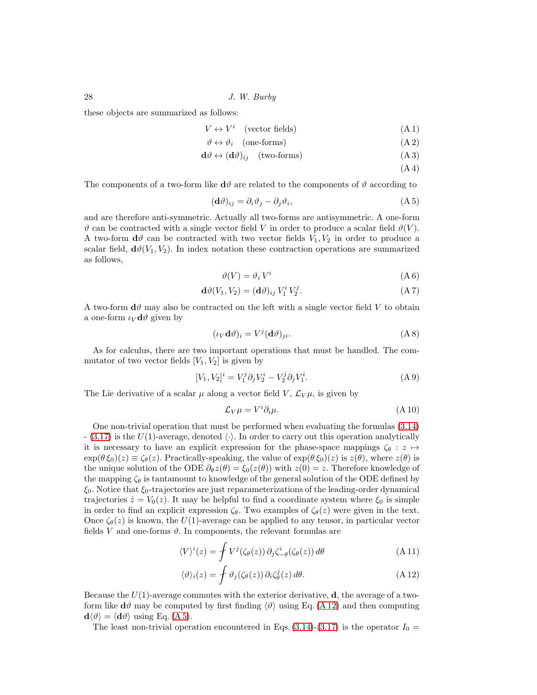these objects are summarized as follows:

$$
V \leftrightarrow V^i \quad \text{(vector fields)} \tag{A.1}
$$

$$
\vartheta \leftrightarrow \vartheta_i \quad \text{(one-forms)} \tag{A.2}
$$

$$
\mathbf{d}\vartheta \leftrightarrow (\mathbf{d}\vartheta)_{ij} \quad \text{(two-forms)}\tag{A 3}
$$

<span id="page-27-1"></span>
$$
(\mathrm{A} \, 4)
$$

The components of a two-form like  $\mathbf{d}\theta$  are related to the components of  $\theta$  according to

$$
(\mathbf{d}\vartheta)_{ij} = \partial_i \vartheta_j - \partial_j \vartheta_i,\tag{A.5}
$$

and are therefore anti-symmetric. Actually all two-forms are antisymmetric. A one-form  $\vartheta$  can be contracted with a single vector field V in order to produce a scalar field  $\vartheta$ (V). A two-form  $\mathbf{d}\theta$  can be contracted with two vector fields  $V_1, V_2$  in order to produce a scalar field,  $\mathbf{d}\theta(V_1, V_2)$ . In index notation these contraction operations are summarized as follows,

$$
\vartheta(V) = \vartheta_i V^i \tag{A 6}
$$

$$
\mathbf{d}\vartheta(V_1, V_2) = (\mathbf{d}\vartheta)_{ij} V_1^i V_2^j. \tag{A 7}
$$

A two-form  $\mathbf{d}\theta$  may also be contracted on the left with a single vector field V to obtain a one-form  $\iota_V \mathbf{d}\vartheta$  given by

$$
(\iota_V \mathbf{d}\vartheta)_i = V^j (\mathbf{d}\vartheta)_{ji}.\tag{A8}
$$

As for calculus, there are two important operations that must be handled. The commutator of two vector fields  $[V_1, V_2]$  is given by

$$
[V_1, V_2]^i = V_1^j \partial_j V_2^i - V_2^j \partial_j V_1^i.
$$
 (A 9)

The Lie derivative of a scalar  $\mu$  along a vector field V,  $\mathcal{L}_V \mu$ , is given by

$$
\mathcal{L}_V \mu = V^i \partial_i \mu. \tag{A.10}
$$

One non-trivial operation that must be performed when evaluating the formulas [\(3.14\)](#page-15-1)  $-$  [\(3.17\)](#page-15-2) is the U(1)-average, denoted  $\langle \cdot \rangle$ . In order to carry out this operation analytically it is necessary to have an explicit expression for the phase-space mappings  $\zeta_{\theta}: z \mapsto$  $\exp(\theta \xi_0)(z) \equiv \zeta_\theta(z)$ . Practically-speaking, the value of  $\exp(\theta \xi_0)(z)$  is  $z(\theta)$ , where  $z(\theta)$  is the unique solution of the ODE  $\partial_{\theta} z(\theta) = \xi_0(z(\theta))$  with  $z(0) = z$ . Therefore knowledge of the mapping  $\zeta_{\theta}$  is tantamount to knowledge of the general solution of the ODE defined by  $\xi_0$ . Notice that  $\xi_0$ -trajectories are just reparameterizations of the leading-order dynamical trajectories  $\dot{z} = V_0(z)$ . It may be helpful to find a coordinate system where  $\xi_0$  is simple in order to find an explicit expression  $\zeta_{\theta}$ . Two examples of  $\zeta_{\theta}(z)$  were given in the text. Once  $\zeta_{\theta}(z)$  is known, the  $U(1)$ -average can be applied to any tensor, in particular vector fields V and one-forms  $\vartheta$ . In components, the relevant formulas are

$$
\langle V \rangle^{i}(z) = \int V^{j}(\zeta_{\theta}(z)) \, \partial_{j} \zeta_{-\theta}^{i}(\zeta_{\theta}(z)) \, d\theta \tag{A.11}
$$

<span id="page-27-0"></span>
$$
\langle \vartheta \rangle_i(z) = \oint \vartheta_j(\zeta_\theta(z)) \, \partial_i \zeta_\theta^j(z) \, d\theta. \tag{A.12}
$$

Because the  $U(1)$ -average commutes with the exterior derivative, d, the average of a twoform like  $d\vartheta$  may be computed by first finding  $\langle \vartheta \rangle$  using Eq. [\(A 12\)](#page-27-0) and then computing  $\mathbf{d}\langle \vartheta \rangle = \langle \mathbf{d}\vartheta \rangle$  using Eq. [\(A 5\)](#page-27-1).

The least non-trivial operation encountered in Eqs.  $(3.14)-(3.17)$  $(3.14)-(3.17)$  is the operator  $I_0 =$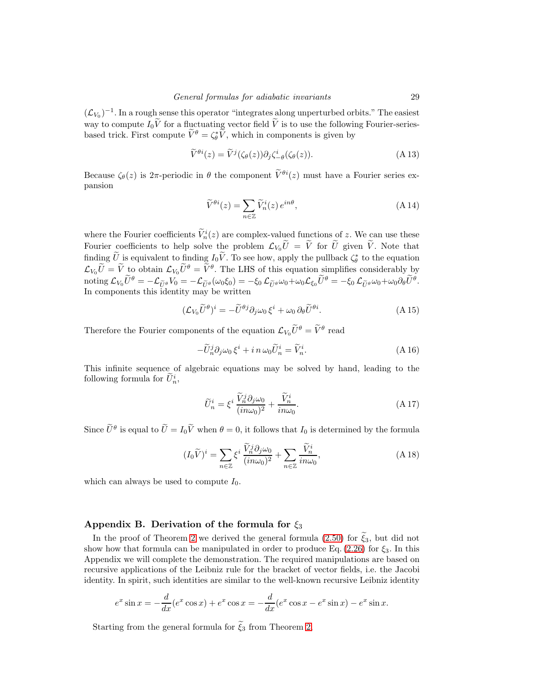$(\mathcal{L}_{V_0})^{-1}$ . In a rough sense this operator "integrates along unperturbed orbits." The easiest way to compute  $I_0\widetilde{V}$  for a fluctuating vector field  $\widetilde{V}$  is to use the following Fourier-seriesbased trick. First compute  $\tilde{V}^{\theta} = \zeta_{\theta}^* \tilde{V}$ , which in components is given by

$$
\widetilde{V}^{\theta i}(z) = \widetilde{V}^{j}(\zeta_{\theta}(z))\partial_{j}\zeta_{-\theta}^{i}(\zeta_{\theta}(z)).
$$
\n(A 13)

Because  $\zeta_{\theta}(z)$  is  $2\pi$ -periodic in  $\theta$  the component  $\widetilde{V}^{\theta i}(z)$  must have a Fourier series expansion

$$
\widetilde{V}^{\theta i}(z) = \sum_{n \in \mathbb{Z}} \widetilde{V}_n^i(z) e^{in\theta},\tag{A.14}
$$

where the Fourier coefficients  $\tilde{V}_n^i(z)$  are complex-valued functions of z. We can use these Fourier coefficients to help solve the problem  $\mathcal{L}_{V_0}\tilde{U} = \tilde{V}$  for  $\tilde{U}$  given  $\tilde{V}$ . Note that finding  $\hat{U}$  is equivalent to finding  $I_0 \hat{V}$ . To see how, apply the pullback  $\zeta_{\theta}^*$  to the equation hidding  $\mathcal{L}_{V_0}\tilde{U} = \tilde{V}$  to obtain  $\mathcal{L}_{V_0}\tilde{U}^{\theta} = \tilde{V}^{\theta}$ . The LHS of this equation simplifies considerably by  $\operatorname{noting} \mathcal{L}_{V_0}\widetilde{U}^{\theta}=-\mathcal{L}_{\widetilde{U}^{\theta}}V_0=-\mathcal{L}_{\widetilde{U}^{\theta}}(\omega_0\xi_0)=-\xi_0\,\mathcal{L}_{\widetilde{U}^{\theta}}\omega_0+\omega_0\mathcal{L}_{\xi_0}\widetilde{U}^{\theta}=-\xi_0\,\mathcal{L}_{\widetilde{U}^{\theta}}\omega_0+\omega_0\partial_{\theta}\widetilde{U}^{\theta}.$ In components this identity may be written

$$
(\mathcal{L}_{V_0}\widetilde{U}^{\theta})^i = -\widetilde{U}^{\theta j}\partial_j \omega_0 \xi^i + \omega_0 \,\partial_{\theta}\widetilde{U}^{\theta i}.\tag{A.15}
$$

Therefore the Fourier components of the equation  $\mathcal{L}_{V_0}\tilde{U}^{\theta} = \tilde{V}^{\theta}$  read

$$
-\widetilde{U}_n^j \partial_j \omega_0 \xi^i + i \, n \, \omega_0 \widetilde{U}_n^i = \widetilde{V}_n^i. \tag{A.16}
$$

This infinite sequence of algebraic equations may be solved by hand, leading to the following formula for  $\tilde{U}_n^i$ ,

$$
\widetilde{U}_n^i = \xi^i \frac{\widetilde{V}_n^j \partial_j \omega_0}{(in \omega_0)^2} + \frac{\widetilde{V}_n^i}{in \omega_0}.
$$
\n(A17)

Since  $\tilde{U}^{\theta}$  is equal to  $\tilde{U} = I_0 \tilde{V}$  when  $\theta = 0$ , it follows that  $I_0$  is determined by the formula

$$
(I_0\widetilde{V})^i = \sum_{n \in \mathbb{Z}} \xi^i \frac{\widetilde{V}_n^j \partial_j \omega_0}{(in \omega_0)^2} + \sum_{n \in \mathbb{Z}} \frac{\widetilde{V}_n^i}{in \omega_0},\tag{A.18}
$$

which can always be used to compute  $I_0$ .

## <span id="page-28-0"></span>Appendix B. Derivation of the formula for  $\xi_3$

In the proof of Theorem [2](#page-7-0) we derived the general formula [\(2.50\)](#page-11-2) for  $\xi_3$ , but did not show how that formula can be manipulated in order to produce Eq.  $(2.26)$  for  $\xi_3$ . In this Appendix we will complete the demonstration. The required manipulations are based on recursive applications of the Leibniz rule for the bracket of vector fields, i.e. the Jacobi identity. In spirit, such identities are similar to the well-known recursive Leibniz identity

$$
e^x \sin x = -\frac{d}{dx}(e^x \cos x) + e^x \cos x = -\frac{d}{dx}(e^x \cos x - e^x \sin x) - e^x \sin x.
$$

Starting from the general formula for  $\tilde{\xi}_3$  from Theorem [2,](#page-7-0)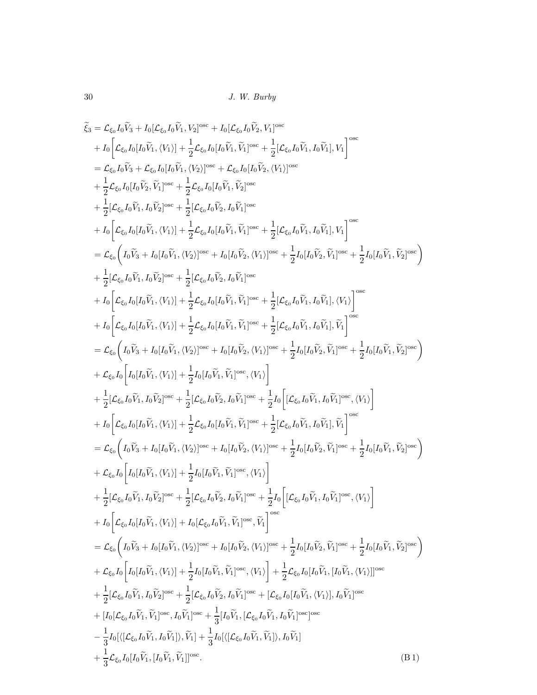$$
\tilde{\xi}_{3} = \mathcal{L}_{\xi_{0}}I_{0}\tilde{V}_{3} + I_{0}[{\mathcal{L}}_{\xi_{0}}I_{0}\tilde{V}_{1},V_{2}]^{\text{osc}} + I_{0}[{\mathcal{L}}_{\xi_{0}}I_{0}\tilde{V}_{2},V_{1}]^{\text{osc}} + \frac{1}{2}[{\mathcal{L}}_{\xi_{0}}I_{0}\tilde{V}_{1},I_{0}\tilde{V}_{1}]^{\text{osc}} + \frac{1}{2}[{\mathcal{L}}_{\xi_{0}}I_{0}\tilde{V}_{1},I_{0}\tilde{V}_{1}]^{\text{osc}} + \frac{1}{2}[{\mathcal{L}}_{\xi_{0}}I_{0}\tilde{V}_{1},I_{0}\tilde{V}_{1}]^{\text{osc}} + \frac{1}{2}[{\mathcal{L}}_{\xi_{0}}I_{0}\tilde{V}_{1},I_{0}\tilde{V}_{2}]^{\text{osc}} + \frac{1}{2}[{\mathcal{L}}_{\xi_{0}}I_{0}[I_{0}\tilde{V}_{1},V_{2}]^{\text{osc}} + \frac{1}{2}[{\mathcal{L}}_{\xi_{0}}I_{0}[I_{0}\tilde{V}_{1},\tilde{V}_{2}]^{\text{osc}} + \frac{1}{2}[{\mathcal{L}}_{\xi_{0}}I_{0}[I_{0}\tilde{V}_{1},\tilde{V}_{2}]^{\text{osc}} + \frac{1}{2}[{\mathcal{L}}_{\xi_{0}}I_{0}[I_{0}\tilde{V}_{1},\tilde{V}_{1}]^{\text{osc}} + \frac{1}{2}[{\mathcal{L}}_{\xi_{0}}I_{0}\tilde{V}_{1},\tilde{V}_{1}]^{\text{osc}} + \frac{1}{2}[{\mathcal{L}}_{\xi_{0}}I_{0}\tilde{V}_{1},\tilde{V}_{1}]^{\text{osc}} + \frac{1}{2}[{\mathcal{L}}_{\xi_{0}}I_{0}\tilde{V}_{1},\tilde{V}_{1}]^{\text{osc}} + \frac{1}{2}[{\mathcal{L}}_{\xi_{0}}I_{0}\tilde{V}_{1},\tilde{V}_{1}]^{\text{osc}} + \frac{1}{2}[{\mathcal{L}}_{\xi_{0}}I_{0}\tilde{V}_{1},\tilde{V}_{1}]^{\text{osc}} + \frac{1}{2}[{\mathcal{L}}_{\xi_{0}}I_{0}\tilde{V}_{1},\tilde{V}_{1}]^{\text{osc
$$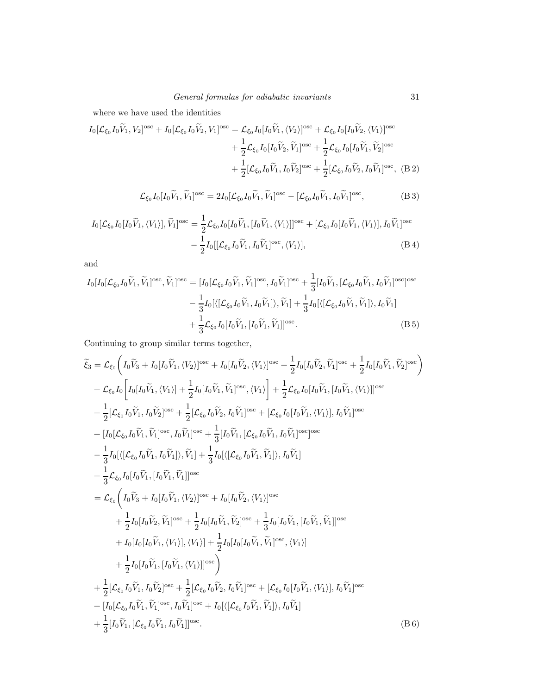where we have used the identities

$$
I_0[\mathcal{L}_{\xi_0}I_0\widetilde{V}_1, V_2]^{\text{osc}} + I_0[\mathcal{L}_{\xi_0}I_0\widetilde{V}_2, V_1]^{\text{osc}} = \mathcal{L}_{\xi_0}I_0[I_0\widetilde{V}_1, \langle V_2 \rangle]^{\text{osc}} + \mathcal{L}_{\xi_0}I_0[I_0\widetilde{V}_2, \langle V_1 \rangle]^{\text{osc}} + \frac{1}{2}\mathcal{L}_{\xi_0}I_0[I_0\widetilde{V}_2, \widetilde{V}_1]^{\text{osc}} + \frac{1}{2}\mathcal{L}_{\xi_0}I_0[I_0\widetilde{V}_1, \widetilde{V}_2]^{\text{osc}} + \frac{1}{2}[\mathcal{L}_{\xi_0}I_0\widetilde{V}_1, I_0\widetilde{V}_2]^{\text{osc}} + \frac{1}{2}[\mathcal{L}_{\xi_0}I_0\widetilde{V}_2, I_0\widetilde{V}_1]^{\text{osc}}, \quad (B 2)
$$

<span id="page-30-0"></span>
$$
\mathcal{L}_{\xi_0} I_0[I_0\widetilde{V}_1, \widetilde{V}_1]^{\text{osc}} = 2I_0[\mathcal{L}_{\xi_0} I_0\widetilde{V}_1, \widetilde{V}_1]^{\text{osc}} - [\mathcal{L}_{\xi_0} I_0\widetilde{V}_1, I_0\widetilde{V}_1]^{\text{osc}},
$$
(B 3)

$$
I_0[\mathcal{L}_{\xi_0}I_0[I_0\widetilde{V}_1,\langle V_1\rangle],\widetilde{V}_1]^{\text{osc}} = \frac{1}{2}\mathcal{L}_{\xi_0}I_0[I_0\widetilde{V}_1,[I_0\widetilde{V}_1,\langle V_1\rangle]]^{\text{osc}} + [\mathcal{L}_{\xi_0}I_0[I_0\widetilde{V}_1,\langle V_1\rangle],I_0\widetilde{V}_1]^{\text{osc}} - \frac{1}{2}I_0[[\mathcal{L}_{\xi_0}I_0\widetilde{V}_1,I_0\widetilde{V}_1]^{\text{osc}},\langle V_1\rangle],\tag{B4}
$$

and

$$
I_0[I_0[\mathcal{L}_{\xi_0}I_0\widetilde{V}_1, \widetilde{V}_1]^{\text{osc}}, \widetilde{V}_1]^{\text{osc}} = [I_0[\mathcal{L}_{\xi_0}I_0\widetilde{V}_1, \widetilde{V}_1]^{\text{osc}}, I_0\widetilde{V}_1]^{\text{osc}} + \frac{1}{3}[I_0\widetilde{V}_1, [\mathcal{L}_{\xi_0}I_0\widetilde{V}_1, I_0\widetilde{V}_1]^{\text{osc}}] = \frac{1}{3}I_0[\langle[\mathcal{L}_{\xi_0}I_0\widetilde{V}_1, I_0\widetilde{V}_1], \widetilde{V}_1] + \frac{1}{3}I_0[\langle[\mathcal{L}_{\xi_0}I_0\widetilde{V}_1, \widetilde{V}_1], I_0\widetilde{V}_1] + \frac{1}{3}\mathcal{L}_{\xi_0}I_0[I_0\widetilde{V}_1, [I_0\widetilde{V}_1, \widetilde{V}_1]]^{\text{osc}}.
$$
\n(B5)

Continuing to group similar terms together,

$$
\tilde{\xi}_{3} = \mathcal{L}_{\xi_{0}} \left( I_{0} \tilde{V}_{3} + I_{0} [I_{0} \tilde{V}_{1}, \langle V_{2} \rangle] ^{\text{osc}} + I_{0} [I_{0} \tilde{V}_{2}, \langle V_{1} \rangle] ^{\text{osc}} + \frac{1}{2} I_{0} [I_{0} \tilde{V}_{2}, \tilde{V}_{1} ] ^{\text{osc}} + \frac{1}{2} I_{0} [I_{0} \tilde{V}_{1}, \tilde{V}_{2} ] ^{\text{osc}} \right) \n+ \mathcal{L}_{\xi_{0}} I_{0} \left[ I_{0} [I_{0} \tilde{V}_{1}, \langle V_{1} \rangle] + \frac{1}{2} I_{0} [I_{0} \tilde{V}_{1}, \tilde{V}_{1} ] ^{\text{osc}}, \langle V_{1} \rangle \right] + \frac{1}{2} \mathcal{L}_{\xi_{0}} I_{0} [I_{0} \tilde{V}_{1}, [I_{0} \tilde{V}_{1}, \langle V_{1} \rangle] ] ^{\text{osc}} \n+ \frac{1}{2} [\mathcal{L}_{\xi_{0}} I_{0} \tilde{V}_{1}, I_{0} \tilde{V}_{2} ] ^{\text{osc}} + \frac{1}{2} [\mathcal{L}_{\xi_{0}} I_{0} \tilde{V}_{2}, I_{0} \tilde{V}_{1} ] ^{\text{osc}} + [\mathcal{L}_{\xi_{0}} I_{0} [I_{0} \tilde{V}_{1}, \langle V_{1} \rangle], I_{0} \tilde{V}_{1} ] ^{\text{osc}} \n+ [I_{0} [L_{\xi_{0}} I_{0} \tilde{V}_{1}, \tilde{V}_{1} ] ^{\text{osc}} + \frac{1}{3} [I_{0} \tilde{V}_{1}, [L_{\xi_{0}} I_{0} \tilde{V}_{1}, I_{0} \tilde{V}_{1} ] ) ^{\text{osc}} \n- \frac{1}{3} I_{0} [ \langle [L_{\xi_{0}} I_{0} \tilde{V}_{1}, I_{0} \tilde{V}_{1} ] \rangle, \tilde{V}_{1} ] + \frac{1}{3} I_{0} [ \langle [L_{\xi_{0}} I_{0} \tilde{V}_{1}, \tilde{V}_{1} ] \rangle, I_{0} \tilde{V}_{1} ]
$$
\n
$$
+ \frac{1}{3} \math
$$